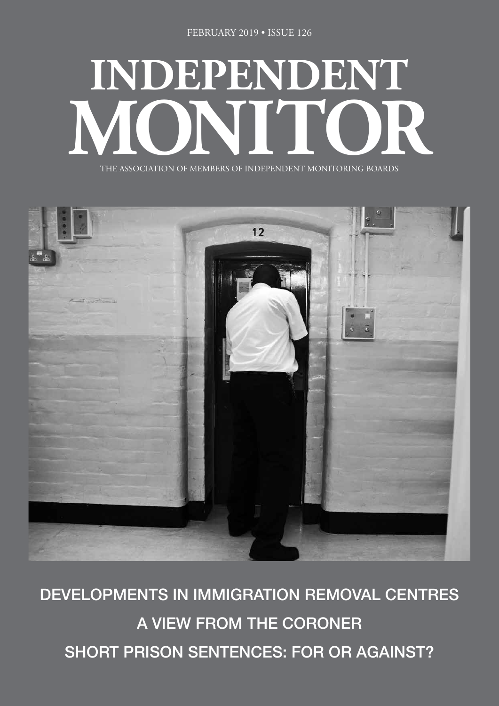# **INDEPENDENT** THE ASSOCIATION OF MEMBERS OF INDEPENDENT MONITORING BOARDS

THE ASSOCIATION OF MEMBERS OF INDEPENDENT MONITORING BOARDS



DEVELOPMENTS IN IMMIGRATION REMOVAL CENTRES A VIEW FROM THE CORONER SHORT PRISON SENTENCES: FOR OR AGAINST?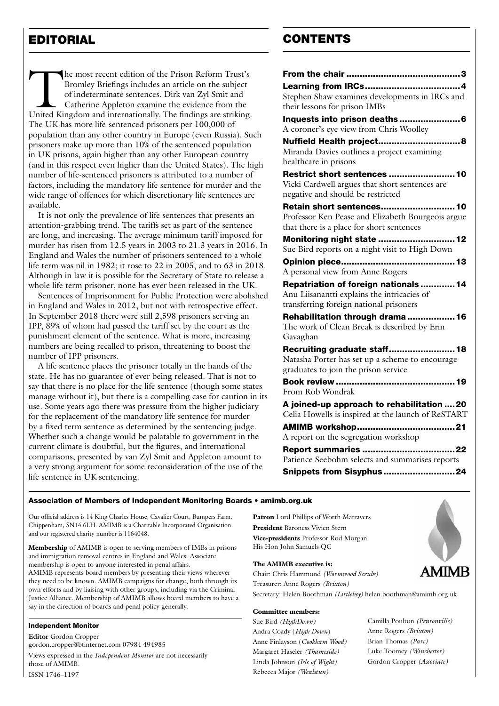The most recent edition of the Prison Reform Trust's<br>
Bromley Briefings includes an article on the subject<br>
of indeterminate sentences. Dirk van Zyl Smit and<br>
Catherine Appleton examine the evidence from the<br>
United Kingdo Bromley Briefings includes an article on the subject of indeterminate sentences. Dirk van Zyl Smit and Catherine Appleton examine the evidence from the The UK has more life-sentenced prisoners per 100,000 of population than any other country in Europe (even Russia). Such prisoners make up more than 10% of the sentenced population in UK prisons, again higher than any other European country (and in this respect even higher than the United States). The high number of life-sentenced prisoners is attributed to a number of factors, including the mandatory life sentence for murder and the wide range of offences for which discretionary life sentences are available.

It is not only the prevalence of life sentences that presents an attention-grabbing trend. The tariffs set as part of the sentence are long, and increasing. The average minimum tariff imposed for murder has risen from 12.5 years in 2003 to 21.3 years in 2016. In England and Wales the number of prisoners sentenced to a whole life term was nil in 1982; it rose to 22 in 2005, and to 63 in 2018. Although in law it is possible for the Secretary of State to release a whole life term prisoner, none has ever been released in the UK.

Sentences of Imprisonment for Public Protection were abolished in England and Wales in 2012, but not with retrospective effect. In September 2018 there were still 2,598 prisoners serving an IPP, 89% of whom had passed the tariff set by the court as the punishment element of the sentence. What is more, increasing numbers are being recalled to prison, threatening to boost the number of IPP prisoners.

A life sentence places the prisoner totally in the hands of the state. He has no guarantee of ever being released. That is not to say that there is no place for the life sentence (though some states manage without it), but there is a compelling case for caution in its use. Some years ago there was pressure from the higher judiciary for the replacement of the mandatory life sentence for murder by a fixed term sentence as determined by the sentencing judge. Whether such a change would be palatable to government in the current climate is doubtful, but the figures, and international comparisons, presented by van Zyl Smit and Appleton amount to a very strong argument for some reconsideration of the use of the life sentence in UK sentencing.

# EDITORIAL CONTENTS

| Stephen Shaw examines developments in IRCs and     |
|----------------------------------------------------|
| their lessons for prison IMBs                      |
|                                                    |
| A coroner's eye view from Chris Woolley            |
|                                                    |
| Nuffield Health project 8                          |
| Miranda Davies outlines a project examining        |
| healthcare in prisons                              |
| Restrict short sentences 10                        |
| Vicki Cardwell argues that short sentences are     |
| negative and should be restricted                  |
| Retain short sentences 10                          |
| Professor Ken Pease and Elizabeth Bourgeois argue  |
| that there is a place for short sentences          |
| Monitoring night state  12                         |
| Sue Bird reports on a night visit to High Down     |
|                                                    |
| A personal view from Anne Rogers                   |
| Repatriation of foreign nationals  14              |
| Anu Liisanantti explains the intricacies of        |
| transferring foreign national prisoners            |
| Rehabilitation through drama  16                   |
| The work of Clean Break is described by Erin       |
| Gavaghan                                           |
| Recruiting graduate staff 18                       |
| Natasha Porter has set up a scheme to encourage    |
| graduates to join the prison service               |
|                                                    |
| From Rob Wondrak                                   |
| A joined-up approach to rehabilitation  20         |
| Celia Howells is inspired at the launch of ReSTART |
|                                                    |
| A report on the segregation workshop               |
| <b>Report summaries 22</b>                         |
| Patience Seebohm selects and summarises reports    |
| Snippets from Sisyphus24                           |
|                                                    |

#### Association of Members of Independent Monitoring Boards • amimb.org.uk

Our official address is 14 King Charles House, Cavalier Court, Bumpers Farm, Chippenham, SN14 6LH. AMIMB is a Charitable Incorporated Organisation and our registered charity number is 1164048.

Membership of AMIMB is open to serving members of IMBs in prisons and immigration removal centres in England and Wales. Associate membership is open to anyone interested in penal affairs. AMIMB represents board members by presenting their views wherever they need to be known. AMIMB campaigns for change, both through its own efforts and by liaising with other groups, including via the Criminal Justice Alliance. Membership of AMIMB allows board members to have a say in the direction of boards and penal policy generally.

#### Independent Monitor

**Editor** Gordon Cropper gordon.cropper@btinternet.com 07984 494985 Views expressed in the *Independent Monitor* are not necessarily those of AMIMB. ISSN 1746–1197

Patron Lord Phillips of Worth Matravers President Baroness Vivien Stern Vice-presidents Professor Rod Morgan His Hon John Samuels QC

#### The AMIMB executive is:

Chair: Chris Hammond *(Wormwood Scrubs)*  Treasurer: Anne Rogers *(Brixton)*  Secretary: Helen Boothman *(Littlehey)* helen.boothman@amimb.org.uk

#### Committee members:

Sue Bird *(HighDown)* Andra Coady (*High Down*) Anne Finlayson (*Cookham Wood)* Margaret Haseler *(Thameside)* Linda Johnson *(Isle of Wight)* Rebecca Major *(Wealstun)*

MIMB

Camilla Poulton *(Pentonville)* Anne Rogers *(Brixton)* Brian Thomas *(Parc)* Luke Toomey *(Winchester)* Gordon Cropper *(Associate)*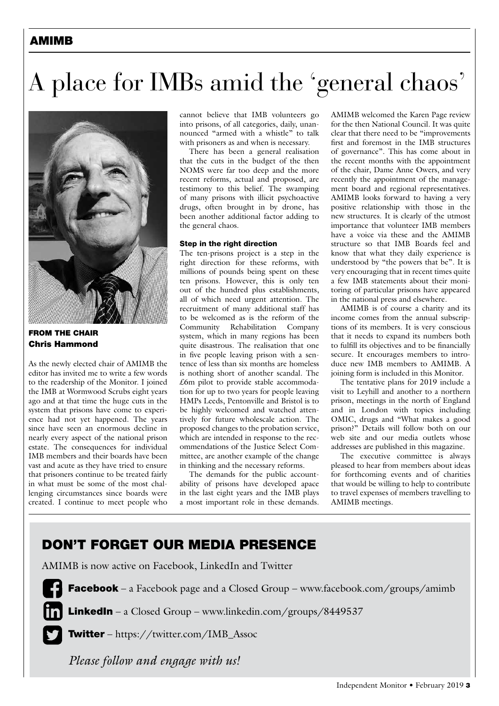# AMIMB

# A place for IMBs amid the 'general chaos'



FROM THE CHAIR Chris Hammond

As the newly elected chair of AMIMB the editor has invited me to write a few words to the readership of the Monitor. I joined the IMB at Wormwood Scrubs eight years ago and at that time the huge cuts in the system that prisons have come to experience had not yet happened. The years since have seen an enormous decline in nearly every aspect of the national prison estate. The consequences for individual IMB members and their boards have been vast and acute as they have tried to ensure that prisoners continue to be treated fairly in what must be some of the most challenging circumstances since boards were created. I continue to meet people who cannot believe that IMB volunteers go into prisons, of all categories, daily, unannounced "armed with a whistle" to talk with prisoners as and when is necessary.

There has been a general realisation that the cuts in the budget of the then NOMS were far too deep and the more recent reforms, actual and proposed, are testimony to this belief. The swamping of many prisons with illicit psychoactive drugs, often brought in by drone, has been another additional factor adding to the general chaos.

#### Step in the right direction

The ten-prisons project is a step in the right direction for these reforms, with millions of pounds being spent on these ten prisons. However, this is only ten out of the hundred plus establishments, all of which need urgent attention. The recruitment of many additional staff has to be welcomed as is the reform of the Community Rehabilitation Company system, which in many regions has been quite disastrous. The realisation that one in five people leaving prison with a sentence of less than six months are homeless is nothing short of another scandal. The £6m pilot to provide stable accommodation for up to two years for people leaving HMPs Leeds, Pentonville and Bristol is to be highly welcomed and watched attentively for future wholescale action. The proposed changes to the probation service, which are intended in response to the recommendations of the Justice Select Committee, are another example of the change in thinking and the necessary reforms.

The demands for the public accountability of prisons have developed apace in the last eight years and the IMB plays a most important role in these demands. AMIMB welcomed the Karen Page review for the then National Council. It was quite clear that there need to be "improvements first and foremost in the IMB structures of governance". This has come about in the recent months with the appointment of the chair, Dame Anne Owers, and very recently the appointment of the management board and regional representatives. AMIMB looks forward to having a very positive relationship with those in the new structures. It is clearly of the utmost importance that volunteer IMB members have a voice via these and the AMIMB structure so that IMB Boards feel and know that what they daily experience is understood by "the powers that be". It is very encouraging that in recent times quite a few IMB statements about their monitoring of particular prisons have appeared in the national press and elsewhere.

AMIMB is of course a charity and its income comes from the annual subscriptions of its members. It is very conscious that it needs to expand its numbers both to fulfill its objectives and to be financially secure. It encourages members to introduce new IMB members to AMIMB. A joining form is included in this Monitor.

The tentative plans for 2019 include a visit to Leyhill and another to a northern prison, meetings in the north of England and in London with topics including OMIC, drugs and "What makes a good prison?" Details will follow both on our web site and our media outlets whose addresses are published in this magazine.

The executive committee is always pleased to hear from members about ideas for forthcoming events and of charities that would be willing to help to contribute to travel expenses of members travelling to AMIMB meetings.

# DON'T FORGET OUR MEDIA PRESENCE

AMIMB is now active on Facebook, LinkedIn and Twitter

**Facebook** – a Facebook page and a Closed Group – www.facebook.com/groups/amimb

**LinkedIn** – a Closed Group – www.linkedin.com/groups/8449537

Twitter – https://twitter.com/IMB\_Assoc

*Please follow and engage with us!*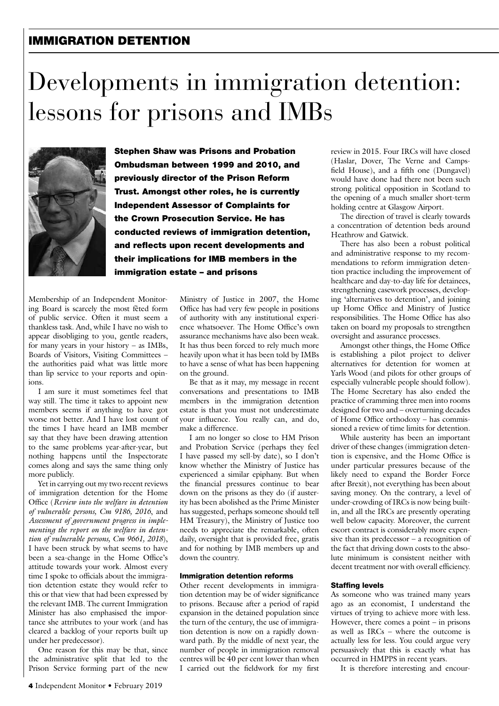### IMMIGRATION DETENTION

# Developments in immigration detention: lessons for prisons and IMBs



Stephen Shaw was Prisons and Probation Ombudsman between 1999 and 2010, and previously director of the Prison Reform Trust. Amongst other roles, he is currently Independent Assessor of Complaints for the Crown Prosecution Service. He has conducted reviews of immigration detention, and reflects upon recent developments and their implications for IMB members in the immigration estate – and prisons

Membership of an Independent Monitoring Board is scarcely the most fêted form of public service. Often it must seem a thankless task. And, while I have no wish to appear disobliging to you, gentle readers, for many years in your history – as IMBs, Boards of Visitors, Visiting Committees – the authorities paid what was little more than lip service to your reports and opinions.

I am sure it must sometimes feel that way still. The time it takes to appoint new members seems if anything to have got worse not better. And I have lost count of the times I have heard an IMB member say that they have been drawing attention to the same problems year-after-year, but nothing happens until the Inspectorate comes along and says the same thing only more publicly.

Yet in carrying out my two recent reviews of immigration detention for the Home Office (*Review into the welfare in detention of vulnerable persons, Cm 9186, 2016*, and *Assessment of government progress in implementing the report on the welfare in detention of vulnerable persons, Cm 9661, 2018*), I have been struck by what seems to have been a sea-change in the Home Office's attitude towards your work. Almost every time I spoke to officials about the immigration detention estate they would refer to this or that view that had been expressed by the relevant IMB. The current Immigration Minister has also emphasised the importance she attributes to your work (and has cleared a backlog of your reports built up under her predecessor).

One reason for this may be that, since the administrative split that led to the Prison Service forming part of the new Ministry of Justice in 2007, the Home Office has had very few people in positions of authority with any institutional experience whatsoever. The Home Office's own assurance mechanisms have also been weak. It has thus been forced to rely much more heavily upon what it has been told by IMBs to have a sense of what has been happening on the ground.

Be that as it may, my message in recent conversations and presentations to IMB members in the immigration detention estate is that you must not underestimate your influence. You really can, and do, make a difference.

I am no longer so close to HM Prison and Probation Service (perhaps they feel I have passed my sell-by date), so I don't know whether the Ministry of Justice has experienced a similar epiphany. But when the financial pressures continue to bear down on the prisons as they do (if austerity has been abolished as the Prime Minister has suggested, perhaps someone should tell HM Treasury), the Ministry of Justice too needs to appreciate the remarkable, often daily, oversight that is provided free, gratis and for nothing by IMB members up and down the country.

#### Immigration detention reforms

Other recent developments in immigration detention may be of wider significance to prisons. Because after a period of rapid expansion in the detained population since the turn of the century, the use of immigration detention is now on a rapidly downward path. By the middle of next year, the number of people in immigration removal centres will be 40 per cent lower than when I carried out the fieldwork for my first review in 2015. Four IRCs will have closed (Haslar, Dover, The Verne and Campsfield House), and a fifth one (Dungavel) would have done had there not been such strong political opposition in Scotland to the opening of a much smaller short-term holding centre at Glasgow Airport.

The direction of travel is clearly towards a concentration of detention beds around Heathrow and Gatwick.

There has also been a robust political and administrative response to my recommendations to reform immigration detention practice including the improvement of healthcare and day-to-day life for detainees, strengthening casework processes, developing 'alternatives to detention', and joining up Home Office and Ministry of Justice responsibilities. The Home Office has also taken on board my proposals to strengthen oversight and assurance processes.

Amongst other things, the Home Office is establishing a pilot project to deliver alternatives for detention for women at Yarls Wood (and pilots for other groups of especially vulnerable people should follow). The Home Secretary has also ended the practice of cramming three men into rooms designed for two and – overturning decades of Home Office orthodoxy – has commissioned a review of time limits for detention.

While austerity has been an important driver of these changes (immigration detention is expensive, and the Home Office is under particular pressures because of the likely need to expand the Border Force after Brexit), not everything has been about saving money. On the contrary, a level of under-crowding of IRCs is now being builtin, and all the IRCs are presently operating well below capacity. Moreover, the current escort contract is considerably more expensive than its predecessor – a recognition of the fact that driving down costs to the absolute minimum is consistent neither with decent treatment nor with overall efficiency.

#### Staffing levels

As someone who was trained many years ago as an economist, I understand the virtues of trying to achieve more with less. However, there comes a point – in prisons as well as IRCs – where the outcome is actually less for less. You could argue very persuasively that this is exactly what has occurred in HMPPS in recent years.

It is therefore interesting and encour-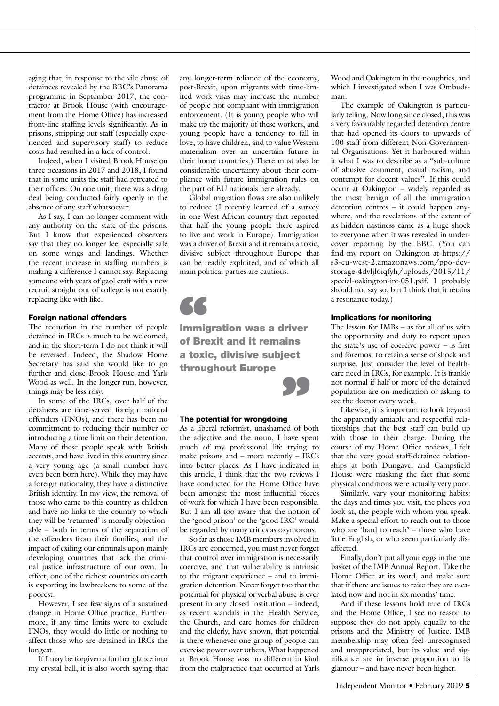aging that, in response to the vile abuse of detainees revealed by the BBC's Panorama programme in September 2017, the contractor at Brook House (with encouragement from the Home Office) has increased front-line staffing levels significantly. As in prisons, stripping out staff (especially experienced and supervisory staff) to reduce costs had resulted in a lack of control.

Indeed, when I visited Brook House on three occasions in 2017 and 2018, I found that in some units the staff had retreated to their offices. On one unit, there was a drug deal being conducted fairly openly in the absence of any staff whatsoever.

As I say, I can no longer comment with any authority on the state of the prisons. But I know that experienced observers say that they no longer feel especially safe on some wings and landings. Whether the recent increase in staffing numbers is making a difference I cannot say. Replacing someone with years of gaol craft with a new recruit straight out of college is not exactly replacing like with like.

#### Foreign national offenders

The reduction in the number of people detained in IRCs is much to be welcomed. and in the short-term I do not think it will be reversed. Indeed, the Shadow Home Secretary has said she would like to go further and close Brook House and Yarls Wood as well. In the longer run, however, things may be less rosy.

In some of the IRCs, over half of the detainees are time-served foreign national offenders (FNOs), and there has been no commitment to reducing their number or introducing a time limit on their detention. Many of these people speak with British accents, and have lived in this country since a very young age (a small number have even been born here). While they may have a foreign nationality, they have a distinctive British identity. In my view, the removal of those who came to this country as children and have no links to the country to which they will be 'returned' is morally objectionable – both in terms of the separation of the offenders from their families, and the impact of exiling our criminals upon mainly developing countries that lack the criminal justice infrastructure of our own. In effect, one of the richest countries on earth is exporting its lawbreakers to some of the poorest.

However, I see few signs of a sustained change in Home Office practice. Furthermore, if any time limits were to exclude FNOs, they would do little or nothing to affect those who are detained in IRCs the longest.

If I may be forgiven a further glance into my crystal ball, it is also worth saying that any longer-term reliance of the economy, post-Brexit, upon migrants with time-limited work visas may increase the number of people not compliant with immigration enforcement. (It is young people who will make up the majority of these workers, and young people have a tendency to fall in love, to have children, and to value Western materialism over an uncertain future in their home countries.) There must also be considerable uncertainty about their compliance with future immigration rules on the part of EU nationals here already.

Global migration flows are also unlikely to reduce (I recently learned of a survey in one West African country that reported that half the young people there aspired to live and work in Europe). Immigration was a driver of Brexit and it remains a toxic, divisive subject throughout Europe that can be readily exploited, and of which all main political parties are cautious.

Immigration was a driver of Brexit and it remains a toxic, divisive subject throughout Europe **SS**<br>Immig<br>of Bro ect<br>99

#### The potential for wrongdoing

As a liberal reformist, unashamed of both the adjective and the noun, I have spent much of my professional life trying to make prisons and – more recently – IRCs into better places. As I have indicated in this article, I think that the two reviews I have conducted for the Home Office have been amongst the most influential pieces of work for which I have been responsible. But I am all too aware that the notion of the 'good prison' or the 'good IRC' would be regarded by many critics as oxymorons.

So far as those IMB members involved in IRCs are concerned, you must never forget that control over immigration is necessarily coercive, and that vulnerability is intrinsic to the migrant experience – and to immigration detention. Never forget too that the potential for physical or verbal abuse is ever present in any closed institution – indeed, as recent scandals in the Health Service, the Church, and care homes for children and the elderly, have shown, that potential is there whenever one group of people can exercise power over others. What happened at Brook House was no different in kind from the malpractice that occurred at Yarls

Wood and Oakington in the noughties, and which I investigated when I was Ombudsman.

The example of Oakington is particularly telling. Now long since closed, this was a very favourably regarded detention centre that had opened its doors to upwards of 100 staff from different Non-Governmental Organisations. Yet it harboured within it what I was to describe as a "sub-culture of abusive comment, casual racism, and contempt for decent values". If this could occur at Oakington – widely regarded as the most benign of all the immigration detention centres – it could happen anywhere, and the revelations of the extent of its hidden nastiness came as a huge shock to everyone when it was revealed in undercover reporting by the BBC. (You can find my report on Oakington at https:// s3-eu-west-2.amazonaws.com/ppo-devstorage-4dvljl6iqfyh/uploads/2015/11/ special-oakington-irc-051.pdf. I probably should not say so, but I think that it retains a resonance today.)

#### Implications for monitoring

The lesson for IMBs – as for all of us with the opportunity and duty to report upon the state's use of coercive power – is first and foremost to retain a sense of shock and surprise. Just consider the level of healthcare need in IRCs, for example. It is frankly not normal if half or more of the detained population are on medication or asking to see the doctor every week.

Likewise, it is important to look beyond the apparently amiable and respectful relationships that the best staff can build up with those in their charge. During the course of my Home Office reviews, I felt that the very good staff-detainee relationships at both Dungavel and Campsfield House were masking the fact that some physical conditions were actually very poor.

Similarly, vary your monitoring habits: the days and times you visit, the places you look at, the people with whom you speak. Make a special effort to reach out to those who are 'hard to reach' – those who have little English, or who seem particularly disaffected.

Finally, don't put all your eggs in the one basket of the IMB Annual Report. Take the Home Office at its word, and make sure that if there are issues to raise they are escalated now and not in six months' time.

And if these lessons hold true of IRCs and the Home Office, I see no reason to suppose they do not apply equally to the prisons and the Ministry of Justice. IMB membership may often feel unrecognised and unappreciated, but its value and significance are in inverse proportion to its glamour – and have never been higher.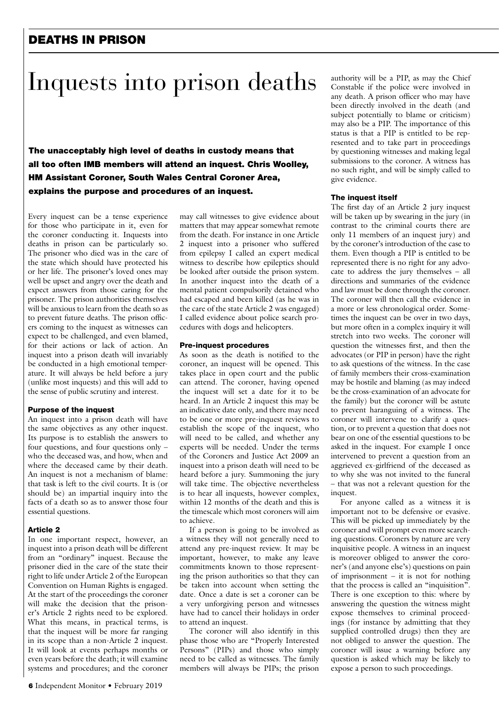# DEATHS IN PRISON

# Inquests into prison deaths

The unacceptably high level of deaths in custody means that all too often IMB members will attend an inquest. Chris Woolley, HM Assistant Coroner, South Wales Central Coroner Area, explains the purpose and procedures of an inquest.

Every inquest can be a tense experience for those who participate in it, even for the coroner conducting it. Inquests into deaths in prison can be particularly so. The prisoner who died was in the care of the state which should have protected his or her life. The prisoner's loved ones may well be upset and angry over the death and expect answers from those caring for the prisoner. The prison authorities themselves will be anxious to learn from the death so as to prevent future deaths. The prison officers coming to the inquest as witnesses can expect to be challenged, and even blamed, for their actions or lack of action. An inquest into a prison death will invariably be conducted in a high emotional temperature. It will always be held before a jury (unlike most inquests) and this will add to the sense of public scrutiny and interest.

#### Purpose of the inquest

An inquest into a prison death will have the same objectives as any other inquest. Its purpose is to establish the answers to four questions, and four questions only – who the deceased was, and how, when and where the deceased came by their death. An inquest is not a mechanism of blame: that task is left to the civil courts. It is (or should be) an impartial inquiry into the facts of a death so as to answer those four essential questions.

#### Article 2

In one important respect, however, an inquest into a prison death will be different from an "ordinary" inquest. Because the prisoner died in the care of the state their right to life under Article 2 of the European Convention on Human Rights is engaged. At the start of the proceedings the coroner will make the decision that the prisoner's Article 2 rights need to be explored. What this means, in practical terms, is that the inquest will be more far ranging in its scope than a non-Article 2 inquest. It will look at events perhaps months or even years before the death; it will examine systems and procedures; and the coroner may call witnesses to give evidence about matters that may appear somewhat remote from the death. For instance in one Article 2 inquest into a prisoner who suffered from epilepsy I called an expert medical witness to describe how epileptics should be looked after outside the prison system. In another inquest into the death of a mental patient compulsorily detained who had escaped and been killed (as he was in the care of the state Article 2 was engaged) I called evidence about police search procedures with dogs and helicopters.

#### Pre-inquest procedures

As soon as the death is notified to the coroner, an inquest will be opened. This takes place in open court and the public can attend. The coroner, having opened the inquest will set a date for it to be heard. In an Article 2 inquest this may be an indicative date only, and there may need to be one or more pre-inquest reviews to establish the scope of the inquest, who will need to be called, and whether any experts will be needed. Under the terms of the Coroners and Justice Act 2009 an inquest into a prison death will need to be heard before a jury. Summoning the jury will take time. The objective nevertheless is to hear all inquests, however complex, within 12 months of the death and this is the timescale which most coroners will aim to achieve.

If a person is going to be involved as a witness they will not generally need to attend any pre-inquest review. It may be important, however, to make any leave commitments known to those representing the prison authorities so that they can be taken into account when setting the date. Once a date is set a coroner can be a very unforgiving person and witnesses have had to cancel their holidays in order to attend an inquest.

The coroner will also identify in this phase those who are "Properly Interested Persons" (PIPs) and those who simply need to be called as witnesses. The family members will always be PIPs; the prison authority will be a PIP, as may the Chief Constable if the police were involved in any death. A prison officer who may have been directly involved in the death (and subject potentially to blame or criticism) may also be a PIP. The importance of this status is that a PIP is entitled to be represented and to take part in proceedings by questioning witnesses and making legal submissions to the coroner. A witness has no such right, and will be simply called to give evidence.

#### The inquest itself

The first day of an Article 2 jury inquest will be taken up by swearing in the jury (in contrast to the criminal courts there are only 11 members of an inquest jury) and by the coroner's introduction of the case to them. Even though a PIP is entitled to be represented there is no right for any advocate to address the jury themselves – all directions and summaries of the evidence and law must be done through the coroner. The coroner will then call the evidence in a more or less chronological order. Sometimes the inquest can be over in two days, but more often in a complex inquiry it will stretch into two weeks. The coroner will question the witnesses first, and then the advocates (or PIP in person) have the right to ask questions of the witness. In the case of family members their cross-examination may be hostile and blaming (as may indeed be the cross-examination of an advocate for the family) but the coroner will be astute to prevent haranguing of a witness. The coroner will intervene to clarify a question, or to prevent a question that does not bear on one of the essential questions to be asked in the inquest. For example I once intervened to prevent a question from an aggrieved ex-girlfriend of the deceased as to why she was not invited to the funeral – that was not a relevant question for the inquest

For anyone called as a witness it is important not to be defensive or evasive. This will be picked up immediately by the coroner and will prompt even more searching questions. Coroners by nature are very inquisitive people. A witness in an inquest is moreover obliged to answer the coroner's (and anyone else's) questions on pain of imprisonment – it is not for nothing that the process is called an "inquisition". There is one exception to this: where by answering the question the witness might expose themselves to criminal proceedings (for instance by admitting that they supplied controlled drugs) then they are not obliged to answer the question. The coroner will issue a warning before any question is asked which may be likely to expose a person to such proceedings.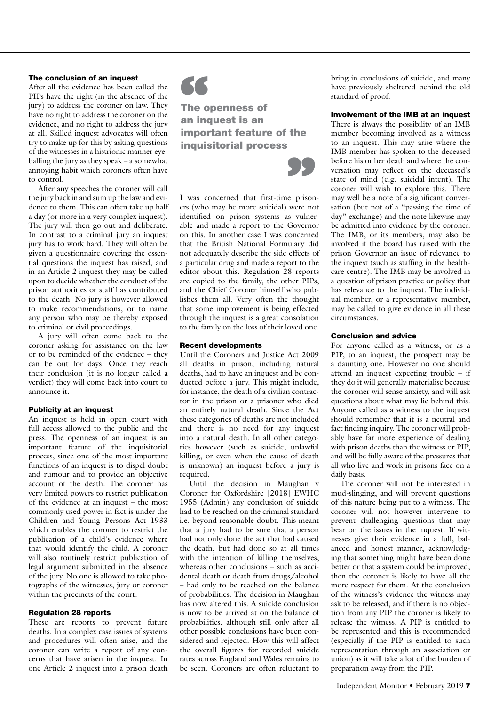#### The conclusion of an inquest

After all the evidence has been called the PIPs have the right (in the absence of the jury) to address the coroner on law. They have no right to address the coroner on the evidence, and no right to address the jury at all. Skilled inquest advocates will often try to make up for this by asking questions of the witnesses in a histrionic manner eyeballing the jury as they speak – a somewhat annoying habit which coroners often have to control.

After any speeches the coroner will call the jury back in and sum up the law and evidence to them. This can often take up half a day (or more in a very complex inquest). The jury will then go out and deliberate. In contrast to a criminal jury an inquest jury has to work hard. They will often be given a questionnaire covering the essential questions the inquest has raised, and in an Article 2 inquest they may be called upon to decide whether the conduct of the prison authorities or staff has contributed to the death. No jury is however allowed to make recommendations, or to name any person who may be thereby exposed to criminal or civil proceedings.

A jury will often come back to the coroner asking for assistance on the law or to be reminded of the evidence – they can be out for days. Once they reach their conclusion (it is no longer called a verdict) they will come back into court to announce it.

#### Publicity at an inquest

An inquest is held in open court with full access allowed to the public and the press. The openness of an inquest is an important feature of the inquisitorial process, since one of the most important functions of an inquest is to dispel doubt and rumour and to provide an objective account of the death. The coroner has very limited powers to restrict publication of the evidence at an inquest – the most commonly used power in fact is under the Children and Young Persons Act 1933 which enables the coroner to restrict the publication of a child's evidence where that would identify the child. A coroner will also routinely restrict publication of legal argument submitted in the absence of the jury. No one is allowed to take photographs of the witnesses, jury or coroner within the precincts of the court.

#### Regulation 28 reports

These are reports to prevent future deaths. In a complex case issues of systems and procedures will often arise, and the coroner can write a report of any concerns that have arisen in the inquest. In one Article 2 inquest into a prison death



The openness of **66**<br>The openness of<br>an inquest is an important feature of the inquisitorial process



I was concerned that first-time prisoners (who may be more suicidal) were not identified on prison systems as vulnerable and made a report to the Governor on this. In another case I was concerned that the British National Formulary did not adequately describe the side effects of a particular drug and made a report to the editor about this. Regulation 28 reports are copied to the family, the other PIPs, and the Chief Coroner himself who publishes them all. Very often the thought that some improvement is being effected through the inquest is a great consolation to the family on the loss of their loved one.

#### Recent developments

Until the Coroners and Justice Act 2009 all deaths in prison, including natural deaths, had to have an inquest and be conducted before a jury. This might include, for instance, the death of a civilian contractor in the prison or a prisoner who died an entirely natural death. Since the Act these categories of deaths are not included and there is no need for any inquest into a natural death. In all other categories however (such as suicide, unlawful killing, or even when the cause of death is unknown) an inquest before a jury is required.

Until the decision in Maughan v Coroner for Oxfordshire [2018] EWHC 1955 (Admin) any conclusion of suicide had to be reached on the criminal standard i.e. beyond reasonable doubt. This meant that a jury had to be sure that a person had not only done the act that had caused the death, but had done so at all times with the intention of killing themselves, whereas other conclusions – such as accidental death or death from drugs/alcohol – had only to be reached on the balance of probabilities. The decision in Maughan has now altered this. A suicide conclusion is now to be arrived at on the balance of probabilities, although still only after all other possible conclusions have been considered and rejected. How this will affect the overall figures for recorded suicide rates across England and Wales remains to be seen. Coroners are often reluctant to bring in conclusions of suicide, and many have previously sheltered behind the old standard of proof.

#### Involvement of the IMB at an inquest

There is always the possibility of an IMB member becoming involved as a witness to an inquest. This may arise where the IMB member has spoken to the deceased before his or her death and where the conversation may reflect on the deceased's state of mind (e.g. suicidal intent). The coroner will wish to explore this. There may well be a note of a significant conversation (but not of a "passing the time of day" exchange) and the note likewise may be admitted into evidence by the coroner. The IMB, or its members, may also be involved if the board has raised with the prison Governor an issue of relevance to the inquest (such as staffing in the healthcare centre). The IMB may be involved in a question of prison practice or policy that has relevance to the inquest. The individual member, or a representative member, may be called to give evidence in all these circumstances.

#### Conclusion and advice

For anyone called as a witness, or as a PIP, to an inquest, the prospect may be a daunting one. However no one should attend an inquest expecting trouble – if they do it will generally materialise because the coroner will sense anxiety, and will ask questions about what may lie behind this. Anyone called as a witness to the inquest should remember that it is a neutral and fact finding inquiry. The coroner will probably have far more experience of dealing with prison deaths than the witness or PIP, and will be fully aware of the pressures that all who live and work in prisons face on a daily basis.

The coroner will not be interested in mud-slinging, and will prevent questions of this nature being put to a witness. The coroner will not however intervene to prevent challenging questions that may bear on the issues in the inquest. If witnesses give their evidence in a full, balanced and honest manner, acknowledging that something might have been done better or that a system could be improved, then the coroner is likely to have all the more respect for them. At the conclusion of the witness's evidence the witness may ask to be released, and if there is no objection from any PIP the coroner is likely to release the witness. A PIP is entitled to be represented and this is recommended (especially if the PIP is entitled to such representation through an association or union) as it will take a lot of the burden of preparation away from the PIP.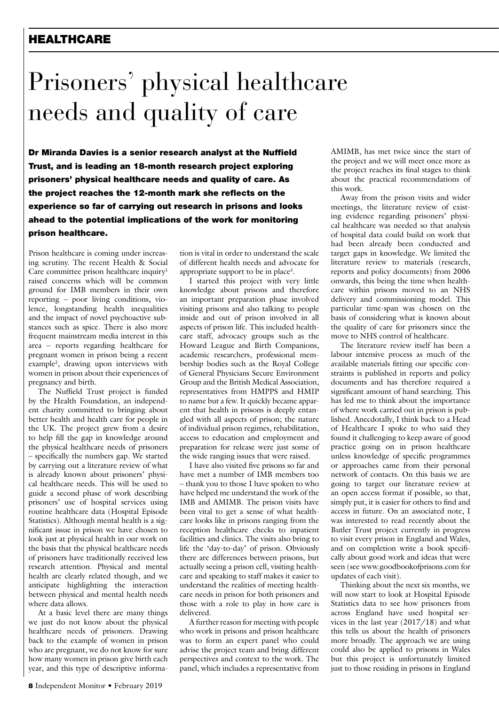### HEALTHCARE

# Prisoners' physical healthcare needs and quality of care

Dr Miranda Davies is a senior research analyst at the Nuffield Trust, and is leading an 18-month research project exploring prisoners' physical healthcare needs and quality of care. As the project reaches the 12-month mark she reflects on the experience so far of carrying out research in prisons and looks ahead to the potential implications of the work for monitoring prison healthcare.

Prison healthcare is coming under increasing scrutiny. The recent Health & Social Care committee prison healthcare inquiry<sup>1</sup> raised concerns which will be common ground for IMB members in their own reporting – poor living conditions, violence, longstanding health inequalities and the impact of novel psychoactive substances such as spice. There is also more frequent mainstream media interest in this area – reports regarding healthcare for pregnant women in prison being a recent example2 , drawing upon interviews with women in prison about their experiences of pregnancy and birth.

The Nuffield Trust project is funded by the Health Foundation, an independent charity committed to bringing about better health and health care for people in the UK. The project grew from a desire to help fill the gap in knowledge around the physical healthcare needs of prisoners – specifically the numbers gap. We started by carrying out a literature review of what is already known about prisoners' physical healthcare needs. This will be used to guide a second phase of work describing prisoners' use of hospital services using routine healthcare data (Hospital Episode Statistics). Although mental health is a significant issue in prison we have chosen to look just at physical health in our work on the basis that the physical healthcare needs of prisoners have traditionally received less research attention. Physical and mental health are clearly related though, and we anticipate highlighting the interaction between physical and mental health needs where data allows.

At a basic level there are many things we just do not know about the physical healthcare needs of prisoners. Drawing back to the example of women in prison who are pregnant, we do not know for sure how many women in prison give birth each year, and this type of descriptive information is vital in order to understand the scale of different health needs and advocate for appropriate support to be in place<sup>3</sup>.

I started this project with very little knowledge about prisons and therefore an important preparation phase involved visiting prisons and also talking to people inside and out of prison involved in all aspects of prison life. This included healthcare staff, advocacy groups such as the Howard League and Birth Companions, academic researchers, professional membership bodies such as the Royal College of General Physicians Secure Environment Group and the British Medical Association, representatives from HMPPS and HMIP to name but a few. It quickly became apparent that health in prisons is deeply entangled with all aspects of prison; the nature of individual prison regimes, rehabilitation, access to education and employment and preparation for release were just some of the wide ranging issues that were raised.

I have also visited five prisons so far and have met a number of IMB members too – thank you to those I have spoken to who have helped me understand the work of the IMB and AMIMB. The prison visits have been vital to get a sense of what healthcare looks like in prisons ranging from the reception healthcare checks to inpatient facilities and clinics. The visits also bring to life the 'day-to-day' of prison. Obviously there are differences between prisons, but actually seeing a prison cell, visiting healthcare and speaking to staff makes it easier to understand the realities of meeting healthcare needs in prison for both prisoners and those with a role to play in how care is delivered.

A further reason for meeting with people who work in prisons and prison healthcare was to form an expert panel who could advise the project team and bring different perspectives and context to the work. The panel, which includes a representative from

AMIMB, has met twice since the start of the project and we will meet once more as the project reaches its final stages to think about the practical recommendations of this work.

Away from the prison visits and wider meetings, the literature review of existing evidence regarding prisoners' physical healthcare was needed so that analysis of hospital data could build on work that had been already been conducted and target gaps in knowledge. We limited the literature review to materials (research, reports and policy documents) from 2006 onwards, this being the time when healthcare within prisons moved to an NHS delivery and commissioning model. This particular time-span was chosen on the basis of considering what is known about the quality of care for prisoners since the move to NHS control of healthcare.

The literature review itself has been a labour intensive process as much of the available materials fitting our specific constraints is published in reports and policy documents and has therefore required a significant amount of hand searching. This has led me to think about the importance of where work carried out in prison is published. Anecdotally, I think back to a Head of Healthcare I spoke to who said they found it challenging to keep aware of good practice going on in prison healthcare unless knowledge of specific programmes or approaches came from their personal network of contacts. On this basis we are going to target our literature review at an open access format if possible, so that, simply put, it is easier for others to find and access in future. On an associated note, I was interested to read recently about the Butler Trust project currently in progress to visit every prison in England and Wales, and on completion write a book specifically about good work and ideas that were seen (see www.goodbookofprisons.com for updates of each visit).

Thinking about the next six months, we will now start to look at Hospital Episode Statistics data to see how prisoners from across England have used hospital services in the last year (2017/18) and what this tells us about the health of prisoners more broadly. The approach we are using could also be applied to prisons in Wales but this project is unfortunately limited just to those residing in prisons in England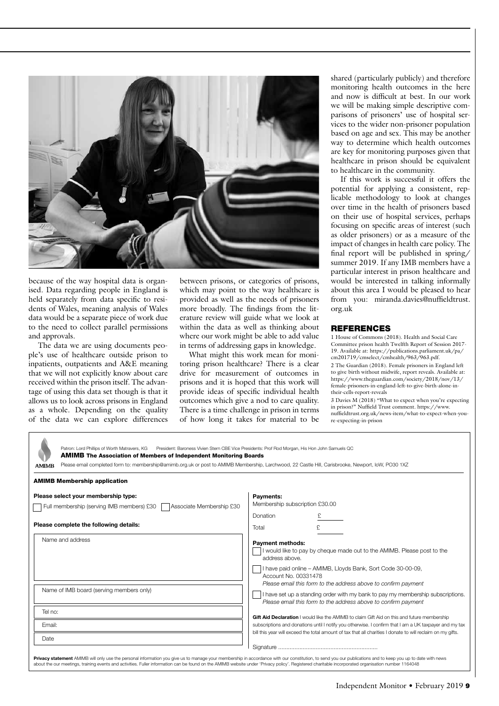

because of the way hospital data is organised. Data regarding people in England is held separately from data specific to residents of Wales, meaning analysis of Wales data would be a separate piece of work due to the need to collect parallel permissions and approvals.

The data we are using documents people's use of healthcare outside prison to inpatients, outpatients and A&E meaning that we will not explicitly know about care received within the prison itself. The advantage of using this data set though is that it allows us to look across prisons in England as a whole. Depending on the quality of the data we can explore differences between prisons, or categories of prisons, which may point to the way healthcare is provided as well as the needs of prisoners more broadly. The findings from the literature review will guide what we look at within the data as well as thinking about where our work might be able to add value in terms of addressing gaps in knowledge.

What might this work mean for monitoring prison healthcare? There is a clear drive for measurement of outcomes in prisons and it is hoped that this work will provide ideas of specific individual health outcomes which give a nod to care quality. There is a time challenge in prison in terms of how long it takes for material to be shared (particularly publicly) and therefore monitoring health outcomes in the here and now is difficult at best. In our work we will be making simple descriptive comparisons of prisoners' use of hospital services to the wider non-prisoner population based on age and sex. This may be another way to determine which health outcomes are key for monitoring purposes given that healthcare in prison should be equivalent to healthcare in the community.

If this work is successful it offers the potential for applying a consistent, replicable methodology to look at changes over time in the health of prisoners based on their use of hospital services, perhaps focusing on specific areas of interest (such as older prisoners) or as a measure of the impact of changes in health care policy. The final report will be published in spring/ summer 2019. If any IMB members have a particular interest in prison healthcare and would be interested in talking informally about this area I would be pleased to hear from you: miranda.davies@nuffieldtrust. org.uk

#### REFERENCES

1 House of Commons (2018). Health and Social Care Committee prison health Twelfth Report of Session 2017- 19. Available at: https://publications.parliament.uk/pa/ cm201719/cmselect/cmhealth/963/963.pdf. 2 The Guardian (2018). Female prisoners in England left to give birth without midwife, report reveals. Available at: https://www.theguardian.com/society/2018/nov/13/ female-prisoners-in-england-left-to-give-birth-alone-intheir-cells-report-reveals

3 Davies M (2018) "What to expect when you're expecting in prison?" Nuffield Trust comment. https://www. nuffieldtrust.org.uk/news-item/what-to-expect-when-youre-expecting-in-prison

| Patron: Lord Phillips of Worth Matravers, KG President: Baroness Vivien Stern CBE Vice Presidents: Prof Rod Morgan, His Hon John Samuels QC<br><b>AMIMB</b> The Association of Members of Independent Monitoring Boards<br>Please email completed form to: membership@amimb.org.uk or post to AMIMB Membership, Larchwood, 22 Castle Hill, Carisbrooke, Newport, IoW, PO30 1XZ<br><b>AMIMB</b>                     |                                                                                                                                                                                                                     |
|--------------------------------------------------------------------------------------------------------------------------------------------------------------------------------------------------------------------------------------------------------------------------------------------------------------------------------------------------------------------------------------------------------------------|---------------------------------------------------------------------------------------------------------------------------------------------------------------------------------------------------------------------|
| <b>AMIMB Membership application</b>                                                                                                                                                                                                                                                                                                                                                                                |                                                                                                                                                                                                                     |
| Please select your membership type:<br>Associate Membership £30<br>Full membership (serving IMB members) £30                                                                                                                                                                                                                                                                                                       | Payments:<br>Membership subscription £30.00                                                                                                                                                                         |
| Please complete the following details:                                                                                                                                                                                                                                                                                                                                                                             | Donation<br>£.<br>Total                                                                                                                                                                                             |
| Name and address                                                                                                                                                                                                                                                                                                                                                                                                   | <b>Payment methods:</b><br>I would like to pay by cheque made out to the AMIMB. Please post to the<br>address above.<br>I have paid online - AMIMB, Lloyds Bank, Sort Code 30-00-09,<br>Account No. 00331478        |
| Name of IMB board (serving members only)                                                                                                                                                                                                                                                                                                                                                                           | Please email this form to the address above to confirm payment<br>I have set up a standing order with my bank to pay my membership subscriptions.<br>Please email this form to the address above to confirm payment |
| Tel no:                                                                                                                                                                                                                                                                                                                                                                                                            | Gift Aid Declaration I would like the AMIMB to claim Gift Aid on this and future membership                                                                                                                         |
| Email:                                                                                                                                                                                                                                                                                                                                                                                                             | subscriptions and donations until I notify you otherwise. I confirm that I am a UK taxpayer and my tax                                                                                                              |
| Date                                                                                                                                                                                                                                                                                                                                                                                                               | bill this year will exceed the total amount of tax that all charities I donate to will reclaim on my gifts.                                                                                                         |
| Privacy statement AMIMB will only use the personal information you give us to manage your membership in accordance with our constitution, to send you our publications and to keep you up to date with news<br>about the our meetings, training events and activities. Fuller information can be found on the AMIMB website under 'Privacy policy'. Registered charitable incorporated organisation number 1164048 |                                                                                                                                                                                                                     |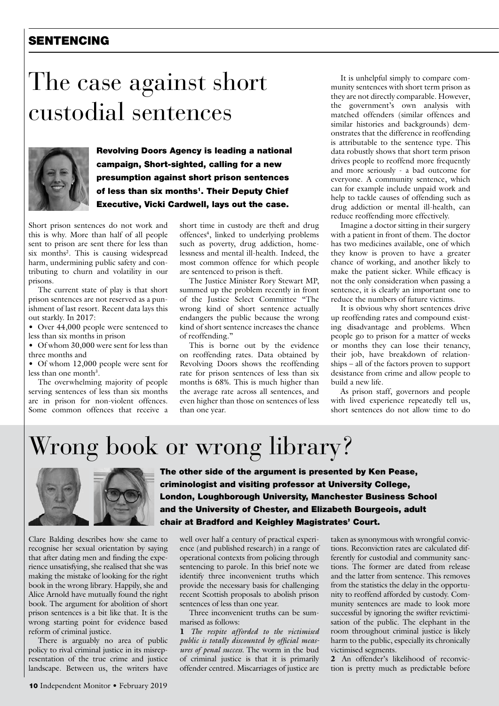# SENTENCING

# The case against short custodial sentences



Revolving Doors Agency is leading a national campaign, Short-sighted, calling for a new presumption against short prison sentences of less than six months<sup>1</sup>. Their Deputy Chief Executive, Vicki Cardwell, lays out the case.

Short prison sentences do not work and this is why. More than half of all people sent to prison are sent there for less than six months<sup>2</sup>. This is causing widespread harm, undermining public safety and contributing to churn and volatility in our prisons.

The current state of play is that short prison sentences are not reserved as a punishment of last resort. Recent data lays this out starkly. In 2017:

• Over 44,000 people were sentenced to less than six months in prison

• Of whom 30,000 were sent for less than three months and

• Of whom 12,000 people were sent for less than one month<sup>3</sup>.

The overwhelming majority of people serving sentences of less than six months are in prison for non-violent offences. Some common offences that receive a

short time in custody are theft and drug offences<sup>4</sup>, linked to underlying problems such as poverty, drug addiction, homelessness and mental ill-health. Indeed, the most common offence for which people are sentenced to prison is theft.

The Justice Minister Rory Stewart MP, summed up the problem recently in front of the Justice Select Committee "The wrong kind of short sentence actually endangers the public because the wrong kind of short sentence increases the chance of reoffending."

This is borne out by the evidence on reoffending rates. Data obtained by Revolving Doors shows the reoffending rate for prison sentences of less than six months is 68%. This is much higher than the average rate across all sentences, and even higher than those on sentences of less than one year.

It is unhelpful simply to compare community sentences with short term prison as they are not directly comparable. However, the government's own analysis with matched offenders (similar offences and similar histories and backgrounds) demonstrates that the difference in reoffending is attributable to the sentence type. This data robustly shows that short term prison drives people to reoffend more frequently and more seriously - a bad outcome for everyone. A community sentence, which can for example include unpaid work and help to tackle causes of offending such as drug addiction or mental ill-health, can reduce reoffending more effectively.

Imagine a doctor sitting in their surgery with a patient in front of them. The doctor has two medicines available, one of which they know is proven to have a greater chance of working, and another likely to make the patient sicker. While efficacy is not the only consideration when passing a sentence, it is clearly an important one to reduce the numbers of future victims.

It is obvious why short sentences drive up reoffending rates and compound existing disadvantage and problems. When people go to prison for a matter of weeks or months they can lose their tenancy, their job, have breakdown of relationships – all of the factors proven to support desistance from crime and allow people to build a new life.

As prison staff, governors and people with lived experience repeatedly tell us, short sentences do not allow time to do

# Wrong book or wrong library?



Clare Balding describes how she came to recognise her sexual orientation by saying that after dating men and finding the experience unsatisfying, she realised that she was making the mistake of looking for the right book in the wrong library. Happily, she and Alice Arnold have mutually found the right book. The argument for abolition of short prison sentences is a bit like that. It is the wrong starting point for evidence based reform of criminal justice.

There is arguably no area of public policy to rival criminal justice in its misrepresentation of the true crime and justice landscape. Between us, the writers have

The other side of the argument is presented by Ken Pease, criminologist and visiting professor at University College, London, Loughborough University, Manchester Business School and the University of Chester, and Elizabeth Bourgeois, adult chair at Bradford and Keighley Magistrates' Court.

well over half a century of practical experience (and published research) in a range of operational contexts from policing through sentencing to parole. In this brief note we identify three inconvenient truths which provide the necessary basis for challenging recent Scottish proposals to abolish prison sentences of less than one year.

Three inconvenient truths can be summarised as follows:

1 *The respite afforded to the victimised public is totally discounted by official measures of penal success.* The worm in the bud of criminal justice is that it is primarily offender centred. Miscarriages of justice are taken as synonymous with wrongful convictions. Reconviction rates are calculated differently for custodial and community sanctions. The former are dated from release and the latter from sentence. This removes from the statistics the delay in the opportunity to reoffend afforded by custody. Community sentences are made to look more successful by ignoring the swifter revictimisation of the public. The elephant in the room throughout criminal justice is likely harm to the public, especially its chronically victimised segments.

2 An offender's likelihood of reconviction is pretty much as predictable before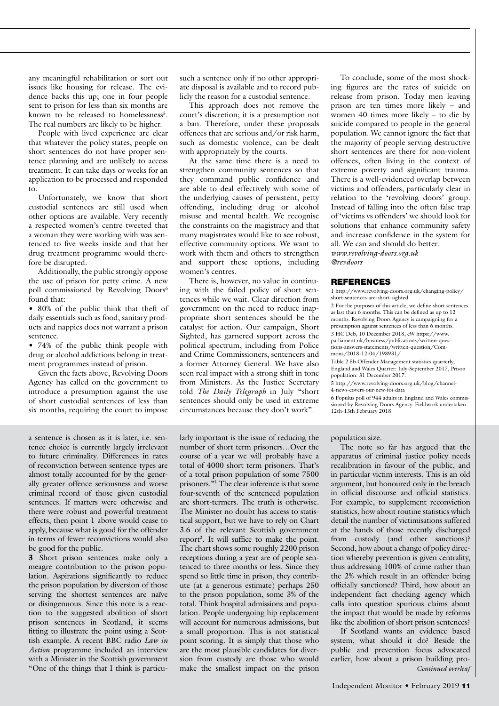any meaningful rehabilitation or sort out issues like housing for release. The evidence backs this up; one in four people sent to prison for less than six months are known to be released to homelessness<sup>5</sup>. The real numbers are likely to be higher.

People with lived experience are clear that whatever the policy states, people on short sentences do not have proper sentence planning and are unlikely to access treatment. It can take days or weeks for an application to be processed and responded to.

Unfortunately, we know that short custodial sentences are still used when other options are available. Very recently a respected women's centre tweeted that a woman they were working with was sentenced to five weeks inside and that her drug treatment programme would therefore be disrupted.

Additionally, the public strongly oppose the use of prison for petty crime. A new poll commissioned by Revolving Doors<sup>6</sup> found that:

• 80% of the public think that theft of daily essentials such as food, sanitary products and nappies does not warrant a prison sentence.

• 74% of the public think people with drug or alcohol addictions belong in treatment programmes instead of prison.

Given the facts above, Revolving Doors Agency has called on the government to introduce a presumption against the use of short custodial sentences of less than six months, requiring the court to impose

a sentence is chosen as it is later, i.e. sentence choice is currently largely irrelevant to future criminality. Differences in rates of reconviction between sentence types are almost totally accounted for by the generally greater offence seriousness and worse criminal record of those given custodial sentences. If matters were otherwise and there were robust and powerful treatment effects, then point 1 above would cease to apply, because what is good for the offender in terms of fewer reconvictions would also be good for the public.

3 Short prison sentences make only a meagre contribution to the prison population. Aspirations significantly to reduce the prison population by diversion of those serving the shortest sentences are naïve or disingenuous. Since this note is a reaction to the suggested abolition of short prison sentences in Scotland, it seems fitting to illustrate the point using a Scottish example. A recent BBC radio *Law in Action* programme included an interview with a Minister in the Scottish government "One of the things that I think is particusuch a sentence only if no other appropriate disposal is available and to record publicly the reason for a custodial sentence.

This approach does not remove the court's discretion; it is a presumption not a ban. Therefore, under these proposals offences that are serious and/or risk harm, such as domestic violence, can be dealt with appropriately by the courts.

At the same time there is a need to strengthen community sentences so that they command public confidence and are able to deal effectively with some of the underlying causes of persistent, petty offending, including drug or alcohol misuse and mental health. We recognise the constraints on the magistracy and that many magistrates would like to see robust, effective community options. We want to work with them and others to strengthen and support these options, including women's centres.

There is, however, no value in continuing with the failed policy of short sentences while we wait. Clear direction from government on the need to reduce inappropriate short sentences should be the catalyst for action. Our campaign, Short Sighted, has garnered support across the political spectrum, including from Police and Crime Commissioners, sentencers and a former Attorney General. We have also seen real impact with a strong shift in tone from Ministers. As the Justice Secretary told *The Daily Telegraph* in July "short sentences should only be used in extreme circumstances because they don't work".

larly important is the issue of reducing the number of short term prisoners…Over the course of a year we will probably have a total of 4000 short term prisoners. That's of a total prison population of some 7500 prisoners."1 The clear inference is that some four-seventh of the sentenced population are short-termers. The truth is otherwise. The Minister no doubt has access to statistical support, but we have to rely on Chart 3.6 of the relevant Scottish government report<sup>2</sup>. It will suffice to make the point. The chart shows some roughly 2200 prison receptions during a year are of people sentenced to three months or less. Since they spend so little time in prison, they contribute (at a generous estimate) perhaps 250 to the prison population, some 3% of the total. Think hospital admissions and population. People undergoing hip replacement will account for numerous admissions, but a small proportion. This is not statistical point scoring. It is simply that those who are the most plausible candidates for diversion from custody are those who would make the smallest impact on the prison

To conclude, some of the most shocking figures are the rates of suicide on release from prison. Today men leaving prison are ten times more likely – and women 40 times more likely – to die by suicide compared to people in the general population. We cannot ignore the fact that the majority of people serving destructive short sentences are there for non-violent offences, often living in the context of extreme poverty and significant trauma. There is a well-evidenced overlap between victims and offenders, particularly clear in relation to the 'revolving doors' group. Instead of falling into the often false trap of 'victims vs offenders' we should look for solutions that enhance community safety and increase confidence in the system for all. We can and should do better. *www.revolving-doors.org.uk* 

*@revdoors* 

#### REFERENCES

1 http://www.revolving-doors.org.uk/changing-policy/ short-sentences-are-short-sighted

2 For the purposes of this article, we define short sentences as last than 6 months. This can be defined as up to 12 months. Revolving Doors Agency is campaigning for a presumption against sentences of less than 6 months. 3 HC Deb, 10 December 2018, cW https://www.

parliament.uk/business/publications/written-questions-answers-statements/written-question/Commons/2018-12-04/198931/

Table 2.5b Offender Management statistics quarterly, England and Wales Quarter: July-September 2017, Prison population: 31 December 2017.

5 http://www.revolving-doors.org.uk/blog/channel-4-news-covers-our-new-foi-data

6 Populus poll of 944 adults in England and Wales commissioned by Revolving Doors Agency. Fieldwork undertaken 12th-13th February 2018.

#### population size.

The note so far has argued that the apparatus of criminal justice policy needs recalibration in favour of the public, and in particular victim interests. This is an old argument, but honoured only in the breach in official discourse and official statistics. For example, to supplement reconviction statistics, how about routine statistics which detail the number of victimisations suffered at the hands of those recently discharged from custody (and other sanctions)? Second, how about a change of policy direction whereby prevention is given centrality, thus addressing 100% of crime rather than the 2% which result in an offender being officially sanctioned? Third, how about an independent fact checking agency which calls into question spurious claims about the impact that would be made by reforms like the abolition of short prison sentences?

If Scotland wants an evidence based system, what should it do? Beside the public and prevention focus advocated earlier, how about a prison building pro-*Continued overleaf*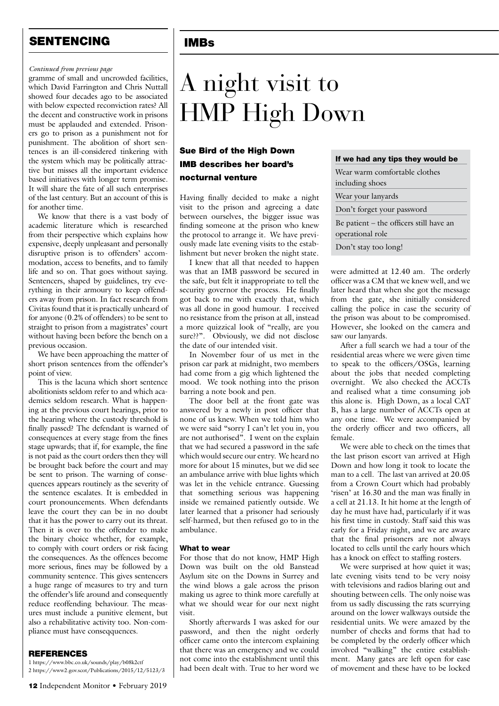## SENTENCING

# IMBs

#### *Continued from previous page*

gramme of small and uncrowded facilities, which David Farrington and Chris Nuttall showed four decades ago to be associated with below expected reconviction rates? All the decent and constructive work in prisons must be applauded and extended. Prisoners go to prison as a punishment not for punishment. The abolition of short sentences is an ill-considered tinkering with the system which may be politically attractive but misses all the important evidence based initiatives with longer term promise. It will share the fate of all such enterprises of the last century. But an account of this is for another time.

We know that there is a vast body of academic literature which is researched from their perspective which explains how expensive, deeply unpleasant and personally disruptive prison is to offenders' accommodation, access to benefits, and to family life and so on. That goes without saying. Sentencers, shaped by guidelines, try everything in their armoury to keep offenders away from prison. In fact research from Civitas found that it is practically unheard of for anyone (0.2% of offenders) to be sent to straight to prison from a magistrates' court without having been before the bench on a previous occasion.

We have been approaching the matter of short prison sentences from the offender's point of view.

This is the lacuna which short sentence abolitionists seldom refer to and which academics seldom research. What is happening at the previous court hearings, prior to the hearing where the custody threshold is finally passed? The defendant is warned of consequences at every stage from the fines stage upwards; that if, for example, the fine is not paid as the court orders then they will be brought back before the court and may be sent to prison. The warning of consequences appears routinely as the severity of the sentence escalates. It is embedded in court pronouncements. When defendants leave the court they can be in no doubt that it has the power to carry out its threat. Then it is over to the offender to make the binary choice whether, for example, to comply with court orders or risk facing the consequences. As the offences become more serious, fines may be followed by a community sentence. This gives sentencers a huge range of measures to try and turn the offender's life around and consequently reduce reoffending behaviour. The measures must include a punitive element, but also a rehabilitative activity too. Non-compliance must have conseqquences.

#### REFERENCES

1 https://www.bbc.co.uk/sounds/play/b08k2ctf 2 https://www2.gov.scot/Publications/2015/12/5123/3

### Sue Bird of the High Down IMB describes her board's nocturnal venture

Having finally decided to make a night visit to the prison and agreeing a date between ourselves, the bigger issue was finding someone at the prison who knew the protocol to arrange it. We have previously made late evening visits to the establishment but never broken the night state.

I knew that all that needed to happen was that an IMB password be secured in the safe, but felt it inappropriate to tell the security governor the process. He finally got back to me with exactly that, which was all done in good humour. I received no resistance from the prison at all, instead a more quizzical look of "really, are you sure??". Obviously, we did not disclose the date of our intended visit.

In November four of us met in the prison car park at midnight, two members had come from a gig which lightened the mood. We took nothing into the prison barring a note book and pen.

The door bell at the front gate was answered by a newly in post officer that none of us knew. When we told him who we were said "sorry I can't let you in, you are not authorised". I went on the explain that we had secured a password in the safe which would secure our entry. We heard no more for about 15 minutes, but we did see an ambulance arrive with blue lights which was let in the vehicle entrance. Guessing that something serious was happening inside we remained patiently outside. We later learned that a prisoner had seriously self-harmed, but then refused go to in the ambulance.

#### What to wear

For those that do not know, HMP High Down was built on the old Banstead Asylum site on the Downs in Surrey and the wind blows a gale across the prison making us agree to think more carefully at what we should wear for our next night visit.

Shortly afterwards I was asked for our password, and then the night orderly officer came onto the intercom explaining that there was an emergency and we could not come into the establishment until this had been dealt with. True to her word we

#### If we had any tips they would be

| Wear warm comfortable clothes           |  |  |
|-----------------------------------------|--|--|
| including shoes                         |  |  |
| Wear your lanyards                      |  |  |
| Don't forget your password              |  |  |
| Be patient – the officers still have an |  |  |
| operational role                        |  |  |
| Don't stay too long!                    |  |  |

were admitted at 12.40 am. The orderly officer was a CM that we knew well, and we later heard that when she got the message from the gate, she initially considered calling the police in case the security of the prison was about to be compromised. However, she looked on the camera and saw our lanyards.

After a full search we had a tour of the residential areas where we were given time to speak to the officers/OSGs, learning about the jobs that needed completing overnight. We also checked the ACCTs and realised what a time consuming job this alone is. High Down, as a local CAT B, has a large number of ACCTs open at any one time. We were accompanied by the orderly officer and two officers, all female.

We were able to check on the times that the last prison escort van arrived at High Down and how long it took to locate the man to a cell. The last van arrived at 20.05 from a Crown Court which had probably 'risen' at 16.30 and the man was finally in a cell at 21.13. It hit home at the length of day he must have had, particularly if it was his first time in custody. Staff said this was early for a Friday night, and we are aware that the final prisoners are not always located to cells until the early hours which has a knock on effect to staffing rosters.

We were surprised at how quiet it was; late evening visits tend to be very noisy with televisions and radios blaring out and shouting between cells. The only noise was from us sadly discussing the rats scurrying around on the lower walkways outside the residential units. We were amazed by the number of checks and forms that had to be completed by the orderly officer which involved "walking" the entire establishment. Many gates are left open for ease of movement and these have to be locked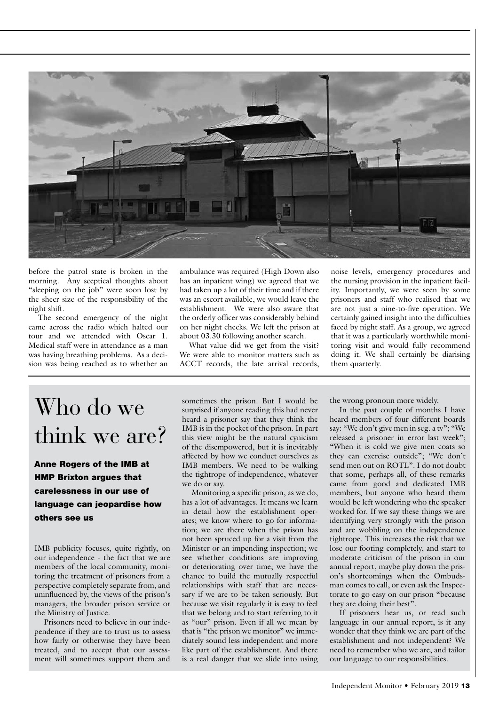

before the patrol state is broken in the morning. Any sceptical thoughts about "sleeping on the job" were soon lost by the sheer size of the responsibility of the night shift.

The second emergency of the night came across the radio which halted our tour and we attended with Oscar 1. Medical staff were in attendance as a man was having breathing problems. As a decision was being reached as to whether an ambulance was required (High Down also has an inpatient wing) we agreed that we had taken up a lot of their time and if there was an escort available, we would leave the establishment. We were also aware that the orderly officer was considerably behind on her night checks. We left the prison at about 03.30 following another search.

What value did we get from the visit? We were able to monitor matters such as ACCT records, the late arrival records, noise levels, emergency procedures and the nursing provision in the inpatient facility. Importantly, we were seen by some prisoners and staff who realised that we are not just a nine-to-five operation. We certainly gained insight into the difficulties faced by night staff. As a group, we agreed that it was a particularly worthwhile monitoring visit and would fully recommend doing it. We shall certainly be diarising them quarterly.

# Who do we think we are?

Anne Rogers of the IMB at HMP Brixton argues that carelessness in our use of language can jeopardise how others see us

IMB publicity focuses, quite rightly, on our independence - the fact that we are members of the local community, monitoring the treatment of prisoners from a perspective completely separate from, and uninfluenced by, the views of the prison's managers, the broader prison service or the Ministry of Justice.

Prisoners need to believe in our independence if they are to trust us to assess how fairly or otherwise they have been treated, and to accept that our assessment will sometimes support them and

sometimes the prison. But I would be surprised if anyone reading this had never heard a prisoner say that they think the IMB is in the pocket of the prison. In part this view might be the natural cynicism of the disempowered, but it is inevitably affected by how we conduct ourselves as IMB members. We need to be walking the tightrope of independence, whatever we do or say.

Monitoring a specific prison, as we do, has a lot of advantages. It means we learn in detail how the establishment operates; we know where to go for information; we are there when the prison has not been spruced up for a visit from the Minister or an impending inspection; we see whether conditions are improving or deteriorating over time; we have the chance to build the mutually respectful relationships with staff that are necessary if we are to be taken seriously. But because we visit regularly it is easy to feel that we belong and to start referring to it as "our" prison. Even if all we mean by that is "the prison we monitor" we immediately sound less independent and more like part of the establishment. And there is a real danger that we slide into using the wrong pronoun more widely.

In the past couple of months I have heard members of four different boards say: "We don't give men in seg. a tv"; "We released a prisoner in error last week"; "When it is cold we give men coats so they can exercise outside"; "We don't send men out on ROTL". I do not doubt that some, perhaps all, of these remarks came from good and dedicated IMB members, but anyone who heard them would be left wondering who the speaker worked for. If we say these things we are identifying very strongly with the prison and are wobbling on the independence tightrope. This increases the risk that we lose our footing completely, and start to moderate criticism of the prison in our annual report, maybe play down the prison's shortcomings when the Ombudsman comes to call, or even ask the Inspectorate to go easy on our prison "because they are doing their best".

If prisoners hear us, or read such language in our annual report, is it any wonder that they think we are part of the establishment and not independent? We need to remember who we are, and tailor our language to our responsibilities.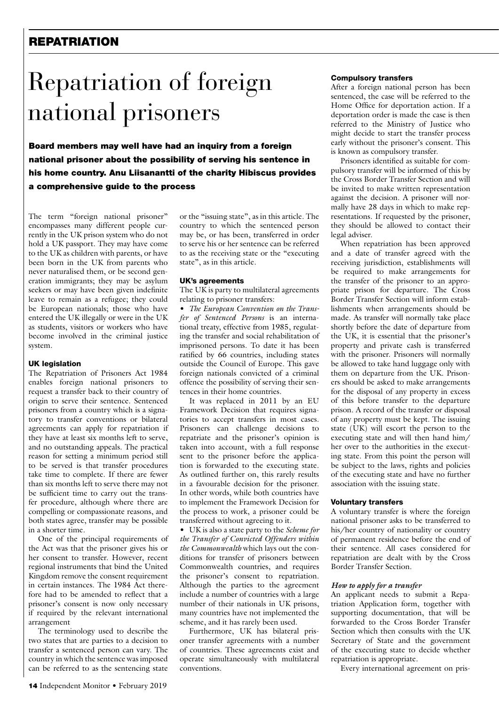### **REPATRIATION**

# Repatriation of foreign national prisoners

Board members may well have had an inquiry from a foreign national prisoner about the possibility of serving his sentence in his home country. Anu Liisanantti of the charity Hibiscus provides a comprehensive guide to the process

The term "foreign national prisoner" encompasses many different people currently in the UK prison system who do not hold a UK passport. They may have come to the UK as children with parents, or have been born in the UK from parents who never naturalised them, or be second generation immigrants; they may be asylum seekers or may have been given indefinite leave to remain as a refugee; they could be European nationals; those who have entered the UK illegally or were in the UK as students, visitors or workers who have become involved in the criminal justice system.

#### UK legislation

The Repatriation of Prisoners Act 1984 enables foreign national prisoners to request a transfer back to their country of origin to serve their sentence. Sentenced prisoners from a country which is a signatory to transfer conventions or bilateral agreements can apply for repatriation if they have at least six months left to serve, and no outstanding appeals. The practical reason for setting a minimum period still to be served is that transfer procedures take time to complete. If there are fewer than six months left to serve there may not be sufficient time to carry out the transfer procedure, although where there are compelling or compassionate reasons, and both states agree, transfer may be possible in a shorter time.

One of the principal requirements of the Act was that the prisoner gives his or her consent to transfer. However, recent regional instruments that bind the United Kingdom remove the consent requirement in certain instances. The 1984 Act therefore had to be amended to reflect that a prisoner's consent is now only necessary if required by the relevant international arrangement

The terminology used to describe the two states that are parties to a decision to transfer a sentenced person can vary. The country in which the sentence was imposed can be referred to as the sentencing state or the "issuing state", as in this article. The country to which the sentenced person may be, or has been, transferred in order to serve his or her sentence can be referred to as the receiving state or the "executing state", as in this article.

#### UK's agreements

The UK is party to multilateral agreements relating to prisoner transfers:

• *The European Convention on the Transfer of Sentenced Persons* is an international treaty, effective from 1985, regulating the transfer and social rehabilitation of imprisoned persons. To date it has been ratified by 66 countries, including states outside the Council of Europe. This gave foreign nationals convicted of a criminal offence the possibility of serving their sentences in their home countries.

It was replaced in 2011 by an EU Framework Decision that requires signatories to accept transfers in most cases. Prisoners can challenge decisions to repatriate and the prisoner's opinion is taken into account, with a full response sent to the prisoner before the application is forwarded to the executing state. As outlined further on, this rarely results in a favourable decision for the prisoner. In other words, while both countries have to implement the Framework Decision for the process to work, a prisoner could be transferred without agreeing to it.

• UK is also a state party to the *Scheme for the Transfer of Convicted Offenders within the Commonwealth* which lays out the conditions for transfer of prisoners between Commonwealth countries, and requires the prisoner's consent to repatriation. Although the parties to the agreement include a number of countries with a large number of their nationals in UK prisons, many countries have not implemented the scheme, and it has rarely been used.

Furthermore, UK has bilateral prisoner transfer agreements with a number of countries. These agreements exist and operate simultaneously with multilateral conventions.

#### Compulsory transfers

After a foreign national person has been sentenced, the case will be referred to the Home Office for deportation action. If a deportation order is made the case is then referred to the Ministry of Justice who might decide to start the transfer process early without the prisoner's consent. This is known as compulsory transfer.

Prisoners identified as suitable for compulsory transfer will be informed of this by the Cross Border Transfer Section and will be invited to make written representation against the decision. A prisoner will normally have 28 days in which to make representations. If requested by the prisoner, they should be allowed to contact their legal adviser.

When repatriation has been approved and a date of transfer agreed with the receiving jurisdiction, establishments will be required to make arrangements for the transfer of the prisoner to an appropriate prison for departure. The Cross Border Transfer Section will inform establishments when arrangements should be made. As transfer will normally take place shortly before the date of departure from the UK, it is essential that the prisoner's property and private cash is transferred with the prisoner. Prisoners will normally be allowed to take hand luggage only with them on departure from the UK. Prisoners should be asked to make arrangements for the disposal of any property in excess of this before transfer to the departure prison. A record of the transfer or disposal of any property must be kept. The issuing state (UK) will escort the person to the executing state and will then hand him/ her over to the authorities in the executing state. From this point the person will be subject to the laws, rights and policies of the executing state and have no further association with the issuing state.

#### Voluntary transfers

A voluntary transfer is where the foreign national prisoner asks to be transferred to his/her country of nationality or country of permanent residence before the end of their sentence. All cases considered for repatriation are dealt with by the Cross Border Transfer Section.

#### *How to apply for a transfer*

An applicant needs to submit a Repatriation Application form, together with supporting documentation, that will be forwarded to the Cross Border Transfer Section which then consults with the UK Secretary of State and the government of the executing state to decide whether repatriation is appropriate.

Every international agreement on pris-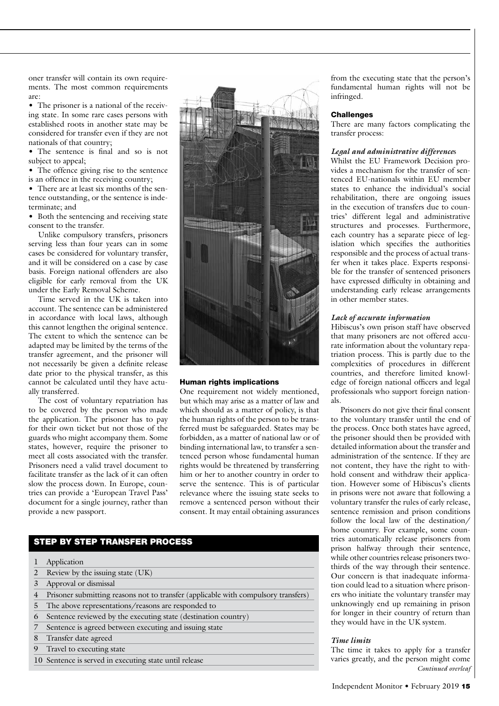oner transfer will contain its own requirements. The most common requirements are:

• The prisoner is a national of the receiving state. In some rare cases persons with established roots in another state may be considered for transfer even if they are not nationals of that country;

• The sentence is final and so is not subject to appeal;

• The offence giving rise to the sentence is an offence in the receiving country;

• There are at least six months of the sentence outstanding, or the sentence is indeterminate; and

• Both the sentencing and receiving state consent to the transfer.

Unlike compulsory transfers, prisoners serving less than four years can in some cases be considered for voluntary transfer, and it will be considered on a case by case basis. Foreign national offenders are also eligible for early removal from the UK under the Early Removal Scheme.

Time served in the UK is taken into account. The sentence can be administered in accordance with local laws, although this cannot lengthen the original sentence. The extent to which the sentence can be adapted may be limited by the terms of the transfer agreement, and the prisoner will not necessarily be given a definite release date prior to the physical transfer, as this cannot be calculated until they have actually transferred.

The cost of voluntary repatriation has to be covered by the person who made the application. The prisoner has to pay for their own ticket but not those of the guards who might accompany them. Some states, however, require the prisoner to meet all costs associated with the transfer. Prisoners need a valid travel document to facilitate transfer as the lack of it can often slow the process down. In Europe, countries can provide a 'European Travel Pass' document for a single journey, rather than provide a new passport.



#### Human rights implications

One requirement not widely mentioned, but which may arise as a matter of law and which should as a matter of policy, is that the human rights of the person to be transferred must be safeguarded. States may be forbidden, as a matter of national law or of binding international law, to transfer a sentenced person whose fundamental human rights would be threatened by transferring him or her to another country in order to serve the sentence. This is of particular relevance where the issuing state seeks to remove a sentenced person without their consent. It may entail obtaining assurances

#### STEP BY STEP TRANSFER PROCESS

| Application |
|-------------|
|             |

- 2 Review by the issuing state (UK)
- 3 Approval or dismissal
- 4 Prisoner submitting reasons not to transfer (applicable with compulsory transfers)
- The above representations/reasons are responded to
- 6 Sentence reviewed by the executing state (destination country)
- Sentence is agreed between executing and issuing state
- 8 Transfer date agreed
- Travel to executing state
- 10 Sentence is served in executing state until release

from the executing state that the person's fundamental human rights will not be infringed.

#### **Challenges**

There are many factors complicating the transfer process:

#### *Legal and administrative difference*s

Whilst the EU Framework Decision provides a mechanism for the transfer of sentenced EU-nationals within EU member states to enhance the individual's social rehabilitation, there are ongoing issues in the execution of transfers due to countries' different legal and administrative structures and processes. Furthermore, each country has a separate piece of legislation which specifies the authorities responsible and the process of actual transfer when it takes place. Experts responsible for the transfer of sentenced prisoners have expressed difficulty in obtaining and understanding early release arrangements in other member states.

#### *Lack of accurate information*

Hibiscus's own prison staff have observed that many prisoners are not offered accurate information about the voluntary repatriation process. This is partly due to the complexities of procedures in different countries, and therefore limited knowledge of foreign national officers and legal professionals who support foreign nationals.

Prisoners do not give their final consent to the voluntary transfer until the end of the process. Once both states have agreed, the prisoner should then be provided with detailed information about the transfer and administration of the sentence. If they are not content, they have the right to withhold consent and withdraw their application. However some of Hibiscus's clients in prisons were not aware that following a voluntary transfer the rules of early release, sentence remission and prison conditions follow the local law of the destination/ home country. For example, some countries automatically release prisoners from prison halfway through their sentence, while other countries release prisoners twothirds of the way through their sentence. Our concern is that inadequate information could lead to a situation where prisoners who initiate the voluntary transfer may unknowingly end up remaining in prison for longer in their country of return than they would have in the UK system.

#### *Time limits*

The time it takes to apply for a transfer varies greatly, and the person might come *Continued overleaf*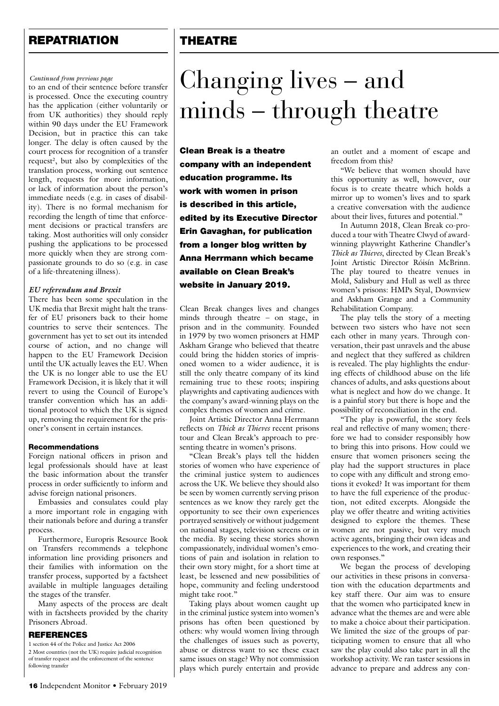## **REPATRIATION**

# THEATRE

#### *Continued from previous page*

to an end of their sentence before transfer is processed. Once the executing country has the application (either voluntarily or from UK authorities) they should reply within 90 days under the EU Framework Decision, but in practice this can take longer. The delay is often caused by the court process for recognition of a transfer request<sup>2</sup>, but also by complexities of the translation process, working out sentence length, requests for more information, or lack of information about the person's immediate needs (e.g. in cases of disability). There is no formal mechanism for recording the length of time that enforcement decisions or practical transfers are taking. Most authorities will only consider pushing the applications to be processed more quickly when they are strong compassionate grounds to do so (e.g. in case of a life-threatening illness).

#### *EU referendum and Brexit*

There has been some speculation in the UK media that Brexit might halt the transfer of EU prisoners back to their home countries to serve their sentences. The government has yet to set out its intended course of action, and no change will happen to the EU Framework Decision until the UK actually leaves the EU. When the UK is no longer able to use the EU Framework Decision, it is likely that it will revert to using the Council of Europe's transfer convention which has an additional protocol to which the UK is signed up, removing the requirement for the prisoner's consent in certain instances.

#### Recommendations

Foreign national officers in prison and legal professionals should have at least the basic information about the transfer process in order sufficiently to inform and advise foreign national prisoners.

Embassies and consulates could play a more important role in engaging with their nationals before and during a transfer process.

Furthermore, Europris Resource Book on Transfers recommends a telephone information line providing prisoners and their families with information on the transfer process, supported by a factsheet available in multiple languages detailing the stages of the transfer.

Many aspects of the process are dealt with in factsheets provided by the charity Prisoners Abroad.

#### **REFERENCES**

1 section 44 of the Police and Justice Act 2006 2 Most countries (not the UK) require judicial recognition of transfer request and the enforcement of the sentence following transfer

# Changing lives – and minds – through theatre

Clean Break is a theatre company with an independent education programme. Its work with women in prison is described in this article, edited by its Executive Director Erin Gavaghan, for publication from a longer blog written by Anna Herrmann which became available on Clean Break's website in January 2019.

Clean Break changes lives and changes minds through theatre – on stage, in prison and in the community. Founded in 1979 by two women prisoners at HMP Askham Grange who believed that theatre could bring the hidden stories of imprisoned women to a wider audience, it is still the only theatre company of its kind remaining true to these roots; inspiring playwrights and captivating audiences with the company's award-winning plays on the complex themes of women and crime.

Joint Artistic Director Anna Herrmann reflects on *Thick as Thieves* recent prisons tour and Clean Break's approach to presenting theatre in women's prisons.

"Clean Break's plays tell the hidden stories of women who have experience of the criminal justice system to audiences across the UK. We believe they should also be seen by women currently serving prison sentences as we know they rarely get the opportunity to see their own experiences portrayed sensitively or without judgement on national stages, television screens or in the media. By seeing these stories shown compassionately, individual women's emotions of pain and isolation in relation to their own story might, for a short time at least, be lessened and new possibilities of hope, community and feeling understood might take root."

Taking plays about women caught up in the criminal justice system into women's prisons has often been questioned by others: why would women living through the challenges of issues such as poverty, abuse or distress want to see these exact same issues on stage? Why not commission plays which purely entertain and provide an outlet and a moment of escape and freedom from this?

"We believe that women should have this opportunity as well, however, our focus is to create theatre which holds a mirror up to women's lives and to spark a creative conversation with the audience about their lives, futures and potential."

In Autumn 2018, Clean Break co-produced a tour with Theatre Clwyd of awardwinning playwright Katherine Chandler's *Thick as Thieves*, directed by Clean Break's Joint Artistic Director Róisín McBrinn. The play toured to theatre venues in Mold, Salisbury and Hull as well as three women's prisons: HMPs Styal, Downview and Askham Grange and a Community Rehabilitation Company.

The play tells the story of a meeting between two sisters who have not seen each other in many years. Through conversation, their past unravels and the abuse and neglect that they suffered as children is revealed. The play highlights the enduring effects of childhood abuse on the life chances of adults, and asks questions about what is neglect and how do we change. It is a painful story but there is hope and the possibility of reconciliation in the end.

"The play is powerful, the story feels real and reflective of many women; therefore we had to consider responsibly how to bring this into prisons. How could we ensure that women prisoners seeing the play had the support structures in place to cope with any difficult and strong emotions it evoked? It was important for them to have the full experience of the production, not edited excerpts. Alongside the play we offer theatre and writing activities designed to explore the themes. These women are not passive, but very much active agents, bringing their own ideas and experiences to the work, and creating their own responses."

We began the process of developing our activities in these prisons in conversation with the education departments and key staff there. Our aim was to ensure that the women who participated knew in advance what the themes are and were able to make a choice about their participation. We limited the size of the groups of participating women to ensure that all who saw the play could also take part in all the workshop activity. We ran taster sessions in advance to prepare and address any con-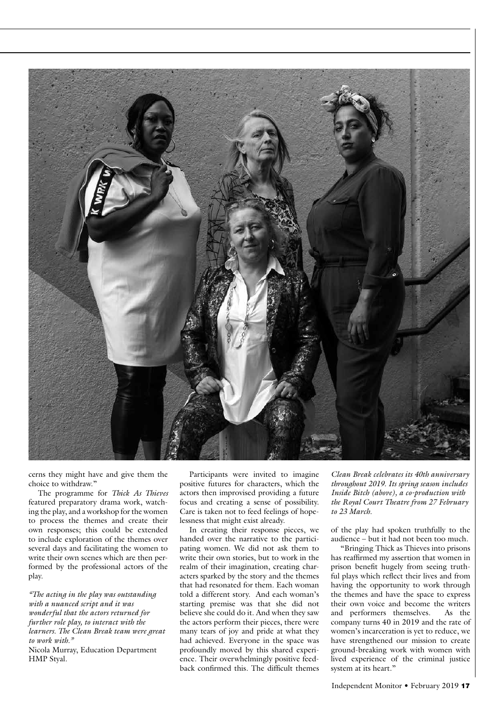

cerns they might have and give them the choice to withdraw."

The programme for *Thick As Thieves* featured preparatory drama work, watching the play, and a workshop for the women to process the themes and create their own responses; this could be extended to include exploration of the themes over several days and facilitating the women to write their own scenes which are then performed by the professional actors of the play.

*"The acting in the play was outstanding with a nuanced script and it was wonderful that the actors returned for further role play, to interact with the learners. The Clean Break team were great to work with."* 

Nicola Murray, Education Department HMP Styal.

Participants were invited to imagine positive futures for characters, which the actors then improvised providing a future focus and creating a sense of possibility. Care is taken not to feed feelings of hopelessness that might exist already.

In creating their response pieces, we handed over the narrative to the participating women. We did not ask them to write their own stories, but to work in the realm of their imagination, creating characters sparked by the story and the themes that had resonated for them. Each woman told a different story. And each woman's starting premise was that she did not believe she could do it. And when they saw the actors perform their pieces, there were many tears of joy and pride at what they had achieved. Everyone in the space was profoundly moved by this shared experience. Their overwhelmingly positive feedback confirmed this. The difficult themes

*Clean Break celebrates its 40th anniversary throughout 2019. Its spring season includes Inside Bitch (above), a co-production with the Royal Court Theatre from 27 February to 23 March.*

of the play had spoken truthfully to the audience – but it had not been too much.

"Bringing Thick as Thieves into prisons has reaffirmed my assertion that women in prison benefit hugely from seeing truthful plays which reflect their lives and from having the opportunity to work through the themes and have the space to express their own voice and become the writers and performers themselves. As the company turns 40 in 2019 and the rate of women's incarceration is yet to reduce, we have strengthened our mission to create ground-breaking work with women with lived experience of the criminal justice system at its heart."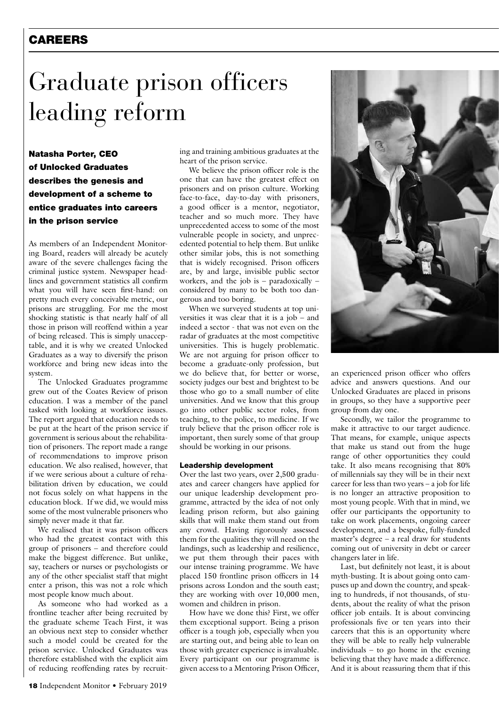### **CAREERS**

# Graduate prison officers leading reform

Natasha Porter, CEO of Unlocked Graduates describes the genesis and development of a scheme to entice graduates into careers in the prison service

As members of an Independent Monitoring Board, readers will already be acutely aware of the severe challenges facing the criminal justice system. Newspaper headlines and government statistics all confirm what you will have seen first-hand: on pretty much every conceivable metric, our prisons are struggling. For me the most shocking statistic is that nearly half of all those in prison will reoffend within a year of being released. This is simply unacceptable, and it is why we created Unlocked Graduates as a way to diversify the prison workforce and bring new ideas into the system.

The Unlocked Graduates programme grew out of the Coates Review of prison education. I was a member of the panel tasked with looking at workforce issues. The report argued that education needs to be put at the heart of the prison service if government is serious about the rehabilitation of prisoners. The report made a range of recommendations to improve prison education. We also realised, however, that if we were serious about a culture of rehabilitation driven by education, we could not focus solely on what happens in the education block. If we did, we would miss some of the most vulnerable prisoners who simply never made it that far.

We realised that it was prison officers who had the greatest contact with this group of prisoners – and therefore could make the biggest difference. But unlike, say, teachers or nurses or psychologists or any of the other specialist staff that might enter a prison, this was not a role which most people know much about.

As someone who had worked as a frontline teacher after being recruited by the graduate scheme Teach First, it was an obvious next step to consider whether such a model could be created for the prison service. Unlocked Graduates was therefore established with the explicit aim of reducing reoffending rates by recruiting and training ambitious graduates at the heart of the prison service.

We believe the prison officer role is the one that can have the greatest effect on prisoners and on prison culture. Working face-to-face, day-to-day with prisoners, a good officer is a mentor, negotiator, teacher and so much more. They have unprecedented access to some of the most vulnerable people in society, and unprecedented potential to help them. But unlike other similar jobs, this is not something that is widely recognised. Prison officers are, by and large, invisible public sector workers, and the job is – paradoxically – considered by many to be both too dangerous and too boring.

When we surveyed students at top universities it was clear that it is a job – and indeed a sector - that was not even on the radar of graduates at the most competitive universities. This is hugely problematic. We are not arguing for prison officer to become a graduate-only profession, but we do believe that, for better or worse, society judges our best and brightest to be those who go to a small number of elite universities. And we know that this group go into other public sector roles, from teaching, to the police, to medicine. If we truly believe that the prison officer role is important, then surely some of that group should be working in our prisons.

#### Leadership development

Over the last two years, over 2,500 graduates and career changers have applied for our unique leadership development programme, attracted by the idea of not only leading prison reform, but also gaining skills that will make them stand out from any crowd. Having rigorously assessed them for the qualities they will need on the landings, such as leadership and resilience, we put them through their paces with our intense training programme. We have placed 150 frontline prison officers in 14 prisons across London and the south east; they are working with over 10,000 men, women and children in prison.

How have we done this? First, we offer them exceptional support. Being a prison officer is a tough job, especially when you are starting out, and being able to lean on those with greater experience is invaluable. Every participant on our programme is given access to a Mentoring Prison Officer,



an experienced prison officer who offers advice and answers questions. And our Unlocked Graduates are placed in prisons in groups, so they have a supportive peer group from day one.

Secondly, we tailor the programme to make it attractive to our target audience. That means, for example, unique aspects that make us stand out from the huge range of other opportunities they could take. It also means recognising that 80% of millennials say they will be in their next career for less than two years – a job for life is no longer an attractive proposition to most young people. With that in mind, we offer our participants the opportunity to take on work placements, ongoing career development, and a bespoke, fully-funded master's degree – a real draw for students coming out of university in debt or career changers later in life.

Last, but definitely not least, it is about myth-busting. It is about going onto campuses up and down the country, and speaking to hundreds, if not thousands, of students, about the reality of what the prison officer job entails. It is about convincing professionals five or ten years into their careers that this is an opportunity where they will be able to really help vulnerable individuals – to go home in the evening believing that they have made a difference. And it is about reassuring them that if this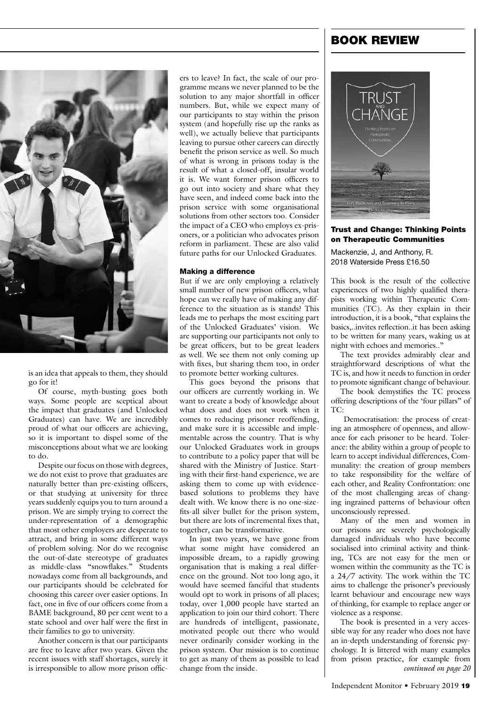

is an idea that appeals to them, they should go for it!

Of course, myth-busting goes both ways. Some people are sceptical about the impact that graduates (and Unlocked Graduates) can have. We are incredibly proud of what our officers are achieving, so it is important to dispel some of the misconceptions about what we are looking to do.

Despite our focus on those with degrees, we do not exist to prove that graduates are naturally better than pre-existing officers, or that studying at university for three years suddenly equips you to turn around a prison. We are simply trying to correct the under-representation of a demographic that most other employers are desperate to attract, and bring in some different ways of problem solving. Nor do we recognise the out-of-date stereotype of graduates as middle-class "snowflakes." Students nowadays come from all backgrounds, and our participants should be celebrated for choosing this career over easier options. In fact, one in five of our officers come from a BAME background, 80 per cent went to a state school and over half were the first in their families to go to university.

Another concern is that our participants are free to leave after two years. Given the recent issues with staff shortages, surely it is irresponsible to allow more prison officers to leave? In fact, the scale of our programme means we never planned to be the solution to any major shortfall in officer numbers. But, while we expect many of our participants to stay within the prison system (and hopefully rise up the ranks as well), we actually believe that participants leaving to pursue other careers can directly benefit the prison service as well. So much of what is wrong in prisons today is the result of what a closed-off, insular world it is. We want former prison officers to go out into society and share what they have seen, and indeed come back into the prison service with some organisational solutions from other sectors too. Consider the impact of a CEO who employs ex-prisoners, or a politician who advocates prison reform in parliament. These are also valid future paths for our Unlocked Graduates.

#### Making a difference

But if we are only employing a relatively small number of new prison officers, what hope can we really have of making any difference to the situation as is stands? This leads me to perhaps the most exciting part of the Unlocked Graduates' vision. We are supporting our participants not only to be great officers, but to be great leaders as well. We see them not only coming up with fixes, but sharing them too, in order to promote better working cultures.

This goes beyond the prisons that our officers are currently working in. We want to create a body of knowledge about what does and does not work when it comes to reducing prisoner reoffending, and make sure it is accessible and implementable across the country. That is why our Unlocked Graduates work in groups to contribute to a policy paper that will be shared with the Ministry of Justice. Starting with their first-hand experience, we are asking them to come up with evidencebased solutions to problems they have dealt with. We know there is no one-sizefits-all silver bullet for the prison system, but there are lots of incremental fixes that, together, can be transformative.

In just two years, we have gone from what some might have considered an impossible dream, to a rapidly growing organisation that is making a real difference on the ground. Not too long ago, it would have seemed fanciful that students would opt to work in prisons of all places; today, over 1,000 people have started an application to join our third cohort. There are hundreds of intelligent, passionate, motivated people out there who would never ordinarily consider working in the prison system. Our mission is to continue to get as many of them as possible to lead change from the inside.

### BOOK REVIEW



Trust and Change: Thinking Points on Therapeutic Communities Mackenzie, J, and Anthony, R.

2018 Waterside Press £16.50

This book is the result of the collective experiences of two highly qualified therapists working within Therapeutic Communities (TC). As they explain in their introduction, it is a book, "that explains the basics,..invites reflection..it has been asking to be written for many years, waking us at night with echoes and memories.."

The text provides admirably clear and straightforward descriptions of what the TC is, and how it needs to function in order to promote significant change of behaviour.

The book demystifies the TC process offering descriptions of the 'four pillars" of TC·

 Democratisation: the process of creating an atmosphere of openness, and allowance for each prisoner to be heard. Tolerance: the ability within a group of people to learn to accept individual differences, Communality: the creation of group members to take responsibility for the welfare of each other, and Reality Confrontation: one of the most challenging areas of changing ingrained patterns of behaviour often unconsciously repressed.

Many of the men and women in our prisons are severely psychologically damaged individuals who have become socialised into criminal activity and thinking, TCs are not easy for the men or women within the community as the TC is a 24/7 activity. The work within the TC aims to challenge the prisoner's previously learnt behaviour and encourage new ways of thinking, for example to replace anger or violence as a response.

The book is presented in a very accessible way for any reader who does not have an in-depth understanding of forensic psychology. It is littered with many examples from prison practice, for example from *continued on page 20*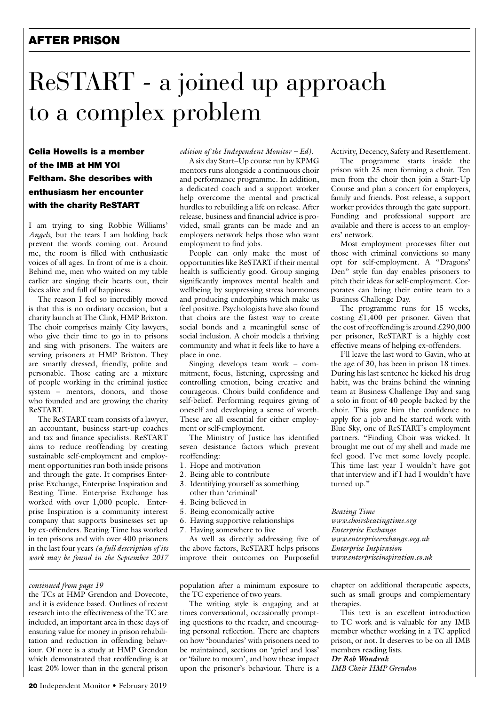# AFTER PRISON

# ReSTART - a joined up approach to a complex problem

Celia Howells is a member of the IMB at HM YOI Feltham. She describes with enthusiasm her encounter with the charity ReSTART

I am trying to sing Robbie Williams' *Angels*, but the tears I am holding back prevent the words coming out. Around me, the room is filled with enthusiastic voices of all ages. In front of me is a choir. Behind me, men who waited on my table earlier are singing their hearts out, their faces alive and full of happiness.

The reason I feel so incredibly moved is that this is no ordinary occasion, but a charity launch at The Clink, HMP Brixton. The choir comprises mainly City lawyers, who give their time to go in to prisons and sing with prisoners. The waiters are serving prisoners at HMP Brixton. They are smartly dressed, friendly, polite and personable. Those eating are a mixture of people working in the criminal justice system – mentors, donors, and those who founded and are growing the charity ReSTART.

The ReSTART team consists of a lawyer, an accountant, business start-up coaches and tax and finance specialists. ReSTART aims to reduce reoffending by creating sustainable self-employment and employment opportunities run both inside prisons and through the gate. It comprises Enterprise Exchange, Enterprise Inspiration and Beating Time. Enterprise Exchange has worked with over 1,000 people. Enterprise Inspiration is a community interest company that supports businesses set up by ex-offenders. Beating Time has worked in ten prisons and with over 400 prisoners in the last four years *(a full description of its work may be found in the September 2017* 

#### *continued from page 19*

the TCs at HMP Grendon and Dovecote, and it is evidence based. Outlines of recent research into the effectiveness of the TC are included, an important area in these days of ensuring value for money in prison rehabilitation and reduction in offending behaviour. Of note is a study at HMP Grendon which demonstrated that reoffending is at least 20% lower than in the general prison

#### *edition of the Independent Monitor – Ed)*.

A six day Start–Up course run by KPMG mentors runs alongside a continuous choir and performance programme. In addition, a dedicated coach and a support worker help overcome the mental and practical hurdles to rebuilding a life on release. After release, business and financial advice is provided, small grants can be made and an employers network helps those who want employment to find jobs.

People can only make the most of opportunities like ReSTART if their mental health is sufficiently good. Group singing significantly improves mental health and wellbeing by suppressing stress hormones and producing endorphins which make us feel positive. Psychologists have also found that choirs are the fastest way to create social bonds and a meaningful sense of social inclusion. A choir models a thriving community and what it feels like to have a place in one.

Singing develops team work – commitment, focus, listening, expressing and controlling emotion, being creative and courageous. Choirs build confidence and self-belief. Performing requires giving of oneself and developing a sense of worth. These are all essential for either employment or self-employment.

The Ministry of Justice has identified seven desistance factors which prevent reoffending:

- 1. Hope and motivation
- 2. Being able to contribute
- 3. Identifying yourself as something other than 'criminal'
- 4. Being believed in
- 5. Being economically active
- 6. Having supportive relationships
- 7. Having somewhere to live

As well as directly addressing five of the above factors, ReSTART helps prisons improve their outcomes on Purposeful

population after a minimum exposure to the TC experience of two years.

The writing style is engaging and at times conversational, occasionally prompting questions to the reader, and encouraging personal reflection. There are chapters on how 'boundaries' with prisoners need to be maintained, sections on 'grief and loss' or 'failure to mourn', and how these impact upon the prisoner's behaviour. There is a Activity, Decency, Safety and Resettlement.

The programme starts inside the prison with 25 men forming a choir. Ten men from the choir then join a Start-Up Course and plan a concert for employers, family and friends. Post release, a support worker provides through the gate support. Funding and professional support are available and there is access to an employers' network.

Most employment processes filter out those with criminal convictions so many opt for self-employment. A "Dragons' Den" style fun day enables prisoners to pitch their ideas for self-employment. Corporates can bring their entire team to a Business Challenge Day.

The programme runs for 15 weeks, costing  $£1,400$  per prisoner. Given that the cost of reoffending is around  $£290,000$ per prisoner, ReSTART is a highly cost effective means of helping ex-offenders.

I'll leave the last word to Gavin, who at the age of 30, has been in prison 18 times. During his last sentence he kicked his drug habit, was the brains behind the winning team at Business Challenge Day and sang a solo in front of 40 people backed by the choir. This gave him the confidence to apply for a job and he started work with Blue Sky, one of ReSTART's employment partners. "Finding Choir was wicked. It brought me out of my shell and made me feel good. I've met some lovely people. This time last year I wouldn't have got that interview and if I had I wouldn't have turned up."

*Beating Time www.choirsbeatingtime.org Enterprise Exchange www.enterpriseexchange.org.uk Enterprise Inspiration www.enterpriseinspiration.co.uk*

chapter on additional therapeutic aspects, such as small groups and complementary therapies.

This text is an excellent introduction to TC work and is valuable for any IMB member whether working in a TC applied prison, or not. It deserves to be on all IMB members reading lists. *Dr Rob Wondrak*

*IMB Chair HMP Grendon*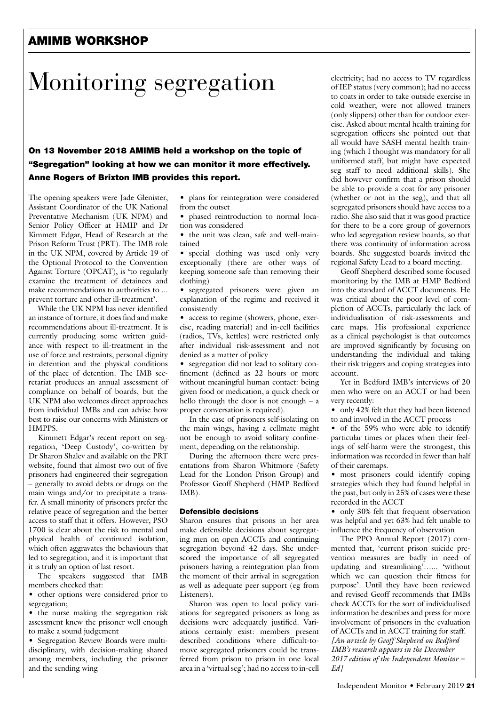# AMIMB WORKSHOP

# Monitoring segregation

### On 13 November 2018 AMIMB held a workshop on the topic of "Segregation" looking at how we can monitor it more effectively. Anne Rogers of Brixton IMB provides this report.

The opening speakers were Jade Glenister, Assistant Coordinator of the UK National Preventative Mechanism (UK NPM) and Senior Policy Officer at HMIP and Dr Kimmett Edgar, Head of Research at the Prison Reform Trust (PRT). The IMB role in the UK NPM, covered by Article 19 of the Optional Protocol to the Convention Against Torture (OPCAT), is 'to regularly examine the treatment of detainees and make recommendations to authorities to ... prevent torture and other ill-treatment'.

While the UK NPM has never identified an instance of torture, it does find and make recommendations about ill-treatment. It is currently producing some written guidance with respect to ill-treatment in the use of force and restraints, personal dignity in detention and the physical conditions of the place of detention. The IMB secretariat produces an annual assessment of compliance on behalf of boards, but the UK NPM also welcomes direct approaches from individual IMBs and can advise how best to raise our concerns with Ministers or HMPPS.

Kimmett Edgar's recent report on segregation, 'Deep Custody', co-written by Dr Sharon Shalev and available on the PRT website, found that almost two out of five prisoners had engineered their segregation – generally to avoid debts or drugs on the main wings and/or to precipitate a transfer. A small minority of prisoners prefer the relative peace of segregation and the better access to staff that it offers. However, PSO 1700 is clear about the risk to mental and physical health of continued isolation, which often aggravates the behaviours that led to segregation, and it is important that it is truly an option of last resort.

The speakers suggested that IMB members checked that:

• other options were considered prior to segregation;

• the nurse making the segregation risk assessment knew the prisoner well enough to make a sound judgement

• Segregation Review Boards were multidisciplinary, with decision-making shared among members, including the prisoner and the sending wing

• plans for reintegration were considered from the outset

• phased reintroduction to normal location was considered

• the unit was clean, safe and well-maintained

• special clothing was used only very exceptionally (there are other ways of keeping someone safe than removing their clothing)

• segregated prisoners were given an explanation of the regime and received it consistently

• access to regime (showers, phone, exercise, reading material) and in-cell facilities (radios, TVs, kettles) were restricted only after individual risk-assessment and not denied as a matter of policy

• segregation did not lead to solitary confinement (defined as 22 hours or more without meaningful human contact: being given food or medication, a quick check or hello through the door is not enough – a proper conversation is required).

In the case of prisoners self-isolating on the main wings, having a cellmate might not be enough to avoid solitary confinement, depending on the relationship.

During the afternoon there were presentations from Sharon Whitmore (Safety Lead for the London Prison Group) and Professor Geoff Shepherd (HMP Bedford IMB).

#### Defensible decisions

Sharon ensures that prisons in her area make defensible decisions about segregating men on open ACCTs and continuing segregation beyond 42 days. She underscored the importance of all segregated prisoners having a reintegration plan from the moment of their arrival in segregation as well as adequate peer support (eg from Listeners).

Sharon was open to local policy variations for segregated prisoners as long as decisions were adequately justified. Variations certainly exist: members present described conditions where difficult-tomove segregated prisoners could be transferred from prison to prison in one local area in a 'virtual seg'; had no access to in-cell electricity; had no access to TV regardless of IEP status (very common); had no access to coats in order to take outside exercise in cold weather; were not allowed trainers (only slippers) other than for outdoor exercise. Asked about mental health training for segregation officers she pointed out that all would have SASH mental health training (which I thought was mandatory for all uniformed staff, but might have expected seg staff to need additional skills). She did however confirm that a prison should be able to provide a coat for any prisoner (whether or not in the seg), and that all segregated prisoners should have access to a radio. She also said that it was good practice for there to be a core group of governors who led segregation review boards, so that there was continuity of information across boards. She suggested boards invited the regional Safety Lead to a board meeting.

Geoff Shepherd described some focused monitoring by the IMB at HMP Bedford into the standard of ACCT documents. He was critical about the poor level of completion of ACCTs, particularly the lack of individualisation of risk-assessments and care maps. His professional experience as a clinical psychologist is that outcomes are improved significantly by focusing on understanding the individual and taking their risk triggers and coping strategies into account.

Yet in Bedford IMB's interviews of 20 men who were on an ACCT or had been very recently:

• only 42% felt that they had been listened to and involved in the ACCT process

• of the 59% who were able to identify particular times or places when their feelings of self-harm were the strongest, this information was recorded in fewer than half of their caremaps.

• most prisoners could identify coping strategies which they had found helpful in the past, but only in 25% of cases were these recorded in the ACCT

• only 30% felt that frequent observation was helpful and yet 63% had felt unable to influence the frequency of observation

The PPO Annual Report (2017) commented that, 'current prison suicide prevention measures are badly in need of updating and streamlining'…... 'without which we can question their fitness for purpose'. Until they have been reviewed and revised Geoff recommends that IMBs check ACCTs for the sort of individualised information he describes and press for more involvement of prisoners in the evaluation of ACCTs and in ACCT training for staff. *[An article by Geoff Shepherd on Bedford IMB's research appears in the December 2017 edition of the Independent Monitor – Ed]*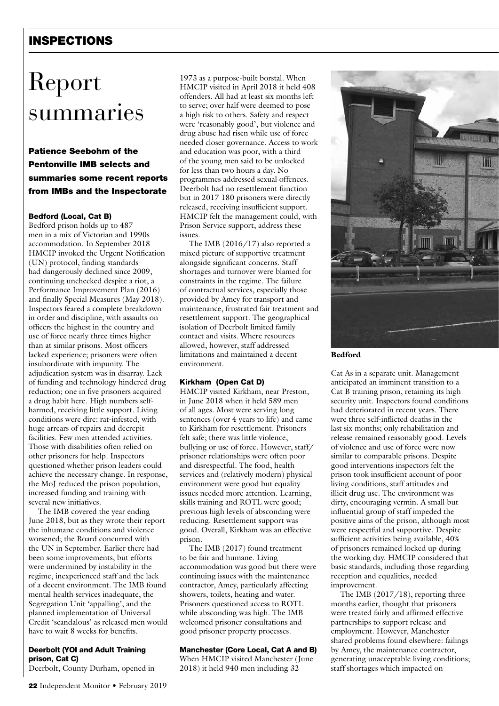# INSPECTIONS

# Report summaries

### Patience Seebohm of the Pentonville IMB selects and summaries some recent reports from IMBs and the Inspectorate

#### Bedford (Local, Cat B)

Bedford prison holds up to 487 men in a mix of Victorian and 1990s accommodation. In September 2018 HMCIP invoked the Urgent Notification (UN) protocol, finding standards had dangerously declined since 2009, continuing unchecked despite a riot, a Performance Improvement Plan (2016) and finally Special Measures (May 2018). Inspectors feared a complete breakdown in order and discipline, with assaults on officers the highest in the country and use of force nearly three times higher than at similar prisons. Most officers lacked experience; prisoners were often insubordinate with impunity. The adjudication system was in disarray. Lack of funding and technology hindered drug reduction; one in five prisoners acquired a drug habit here. High numbers selfharmed, receiving little support. Living conditions were dire: rat-infested, with huge arrears of repairs and decrepit facilities. Few men attended activities. Those with disabilities often relied on other prisoners for help. Inspectors questioned whether prison leaders could achieve the necessary change. In response, the MoJ reduced the prison population, increased funding and training with several new initiatives.

The IMB covered the year ending June 2018, but as they wrote their report the inhumane conditions and violence worsened; the Board concurred with the UN in September. Earlier there had been some improvements, but efforts were undermined by instability in the regime, inexperienced staff and the lack of a decent environment. The IMB found mental health services inadequate, the Segregation Unit 'appalling', and the planned implementation of Universal Credit 'scandalous' as released men would have to wait 8 weeks for benefits.

#### Deerbolt (YOI and Adult Training prison, Cat C)

Deerbolt, County Durham, opened in

1973 as a purpose-built borstal. When HMCIP visited in April 2018 it held 408 offenders. All had at least six months left to serve; over half were deemed to pose a high risk to others. Safety and respect were 'reasonably good', but violence and drug abuse had risen while use of force needed closer governance. Access to work and education was poor, with a third of the young men said to be unlocked for less than two hours a day. No programmes addressed sexual offences. Deerbolt had no resettlement function but in 2017 180 prisoners were directly released, receiving insufficient support. HMCIP felt the management could, with Prison Service support, address these issues.

The IMB (2016/17) also reported a mixed picture of supportive treatment alongside significant concerns. Staff shortages and turnover were blamed for constraints in the regime. The failure of contractual services, especially those provided by Amey for transport and maintenance, frustrated fair treatment and resettlement support. The geographical isolation of Deerbolt limited family contact and visits. Where resources allowed, however, staff addressed limitations and maintained a decent environment.

#### Kirkham (Open Cat D)

HMCIP visited Kirkham, near Preston, in June 2018 when it held 589 men of all ages. Most were serving long sentences (over 4 years to life) and came to Kirkham for resettlement. Prisoners felt safe; there was little violence, bullying or use of force. However, staff/ prisoner relationships were often poor and disrespectful. The food, health services and (relatively modern) physical environment were good but equality issues needed more attention. Learning, skills training and ROTL were good; previous high levels of absconding were reducing. Resettlement support was good. Overall, Kirkham was an effective prison.

The IMB (2017) found treatment to be fair and humane. Living accommodation was good but there were continuing issues with the maintenance contractor, Amey, particularly affecting showers, toilets, heating and water. Prisoners questioned access to ROTL while absconding was high. The IMB welcomed prisoner consultations and good prisoner property processes.

#### Manchester (Core Local, Cat A and B)

When HMCIP visited Manchester (June 2018) it held 940 men including 32



#### Bedford

Cat As in a separate unit. Management anticipated an imminent transition to a Cat B training prison, retaining its high security unit. Inspectors found conditions had deteriorated in recent years. There were three self-inflicted deaths in the last six months; only rehabilitation and release remained reasonably good. Levels of violence and use of force were now similar to comparable prisons. Despite good interventions inspectors felt the prison took insufficient account of poor living conditions, staff attitudes and illicit drug use. The environment was dirty, encouraging vermin. A small but influential group of staff impeded the positive aims of the prison, although most were respectful and supportive. Despite sufficient activities being available,  $40\%$ of prisoners remained locked up during the working day. HMCIP considered that basic standards, including those regarding reception and equalities, needed improvement.

The IMB (2017/18), reporting three months earlier, thought that prisoners were treated fairly and affirmed effective partnerships to support release and employment. However, Manchester shared problems found elsewhere: failings by Amey, the maintenance contractor, generating unacceptable living conditions; staff shortages which impacted on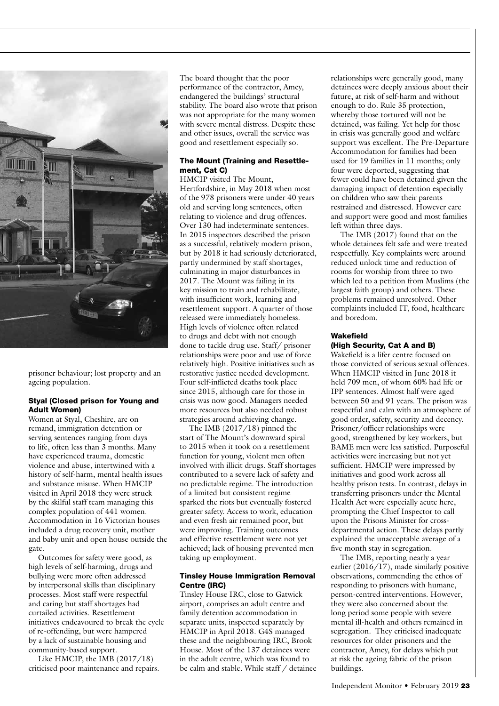

prisoner behaviour; lost property and an ageing population.

#### Styal (Closed prison for Young and Adult Women)

Women at Styal, Cheshire, are on remand, immigration detention or serving sentences ranging from days to life, often less than 3 months. Many have experienced trauma, domestic violence and abuse, intertwined with a history of self-harm, mental health issues and substance misuse. When HMCIP visited in April 2018 they were struck by the skilful staff team managing this complex population of 441 women. Accommodation in 16 Victorian houses included a drug recovery unit, mother and baby unit and open house outside the gate.

Outcomes for safety were good, as high levels of self-harming, drugs and bullying were more often addressed by interpersonal skills than disciplinary processes. Most staff were respectful and caring but staff shortages had curtailed activities. Resettlement initiatives endeavoured to break the cycle of re-offending, but were hampered by a lack of sustainable housing and community-based support.

Like HMCIP, the IMB (2017/18) criticised poor maintenance and repairs. The board thought that the poor performance of the contractor, Amey, endangered the buildings' structural stability. The board also wrote that prison was not appropriate for the many women with severe mental distress. Despite these and other issues, overall the service was good and resettlement especially so.

#### The Mount (Training and Resettlement, Cat C)

HMCIP visited The Mount, Hertfordshire, in May 2018 when most of the 978 prisoners were under 40 years old and serving long sentences, often relating to violence and drug offences. Over 130 had indeterminate sentences. In 2015 inspectors described the prison as a successful, relatively modern prison, but by 2018 it had seriously deteriorated, partly undermined by staff shortages, culminating in major disturbances in 2017. The Mount was failing in its key mission to train and rehabilitate, with insufficient work, learning and resettlement support. A quarter of those released were immediately homeless. High levels of violence often related to drugs and debt with not enough done to tackle drug use. Staff/ prisoner relationships were poor and use of force relatively high. Positive initiatives such as restorative justice needed development. Four self-inflicted deaths took place since 2015, although care for those in crisis was now good. Managers needed more resources but also needed robust strategies around achieving change.

The IMB (2017/18) pinned the start of The Mount's downward spiral to 2015 when it took on a resettlement function for young, violent men often involved with illicit drugs. Staff shortages contributed to a severe lack of safety and no predictable regime. The introduction of a limited but consistent regime sparked the riots but eventually fostered greater safety. Access to work, education and even fresh air remained poor, but were improving. Training outcomes and effective resettlement were not yet achieved; lack of housing prevented men taking up employment.

#### Tinsley House Immigration Removal Centre (IRC)

Tinsley House IRC, close to Gatwick airport, comprises an adult centre and family detention accommodation in separate units, inspected separately by HMCIP in April 2018. G4S managed these and the neighbouring IRC, Brook House. Most of the 137 detainees were in the adult centre, which was found to be calm and stable. While staff / detainee relationships were generally good, many detainees were deeply anxious about their future, at risk of self-harm and without enough to do. Rule 35 protection, whereby those tortured will not be detained, was failing. Yet help for those in crisis was generally good and welfare support was excellent. The Pre-Departure Accommodation for families had been used for 19 families in 11 months; only four were deported, suggesting that fewer could have been detained given the damaging impact of detention especially on children who saw their parents restrained and distressed. However care and support were good and most families left within three days.

The IMB (2017) found that on the whole detainees felt safe and were treated respectfully. Key complaints were around reduced unlock time and reduction of rooms for worship from three to two which led to a petition from Muslims (the largest faith group) and others. These problems remained unresolved. Other complaints included IT, food, healthcare and boredom.

#### Wakefield (High Security, Cat A and B)

Wakefield is a lifer centre focused on those convicted of serious sexual offences. When HMCIP visited in June 2018 it held 709 men, of whom 60% had life or IPP sentences. Almost half were aged between 50 and 91 years. The prison was respectful and calm with an atmosphere of good order, safety, security and decency. Prisoner/officer relationships were good, strengthened by key workers, but BAME men were less satisfied. Purposeful activities were increasing but not yet sufficient. HMCIP were impressed by initiatives and good work across all healthy prison tests. In contrast, delays in transferring prisoners under the Mental Health Act were especially acute here, prompting the Chief Inspector to call upon the Prisons Minister for crossdepartmental action. These delays partly explained the unacceptable average of a five month stay in segregation.

The IMB, reporting nearly a year earlier (2016/17), made similarly positive observations, commending the ethos of responding to prisoners with humane, person-centred interventions. However, they were also concerned about the long period some people with severe mental ill-health and others remained in segregation. They criticised inadequate resources for older prisoners and the contractor, Amey, for delays which put at risk the ageing fabric of the prison buildings.